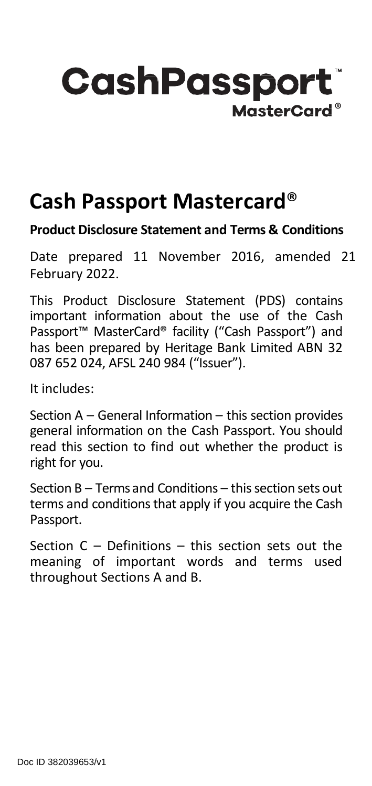# **CashPassport** MasterCard®

# **Cash Passport Mastercard**®

#### **Product Disclosure Statement and Terms & Conditions**

Date prepared 11 November 2016, amended 21 February 2022.

This Product Disclosure Statement (PDS) contains important information about the use of the Cash Passport™ MasterCard® facility ("Cash Passport") and has been prepared by Heritage Bank Limited ABN 32 087 652 024, AFSL 240 984 ("Issuer").

It includes:

Section A – General Information – this section provides general information on the Cash Passport. You should read this section to find out whether the product is right for you.

Section  $B - T$ erms and Conditions – this section sets out terms and conditions that apply if you acquire the Cash Passport.

Section C – Definitions – this section sets out the meaning of important words and terms used throughout Sections A and B.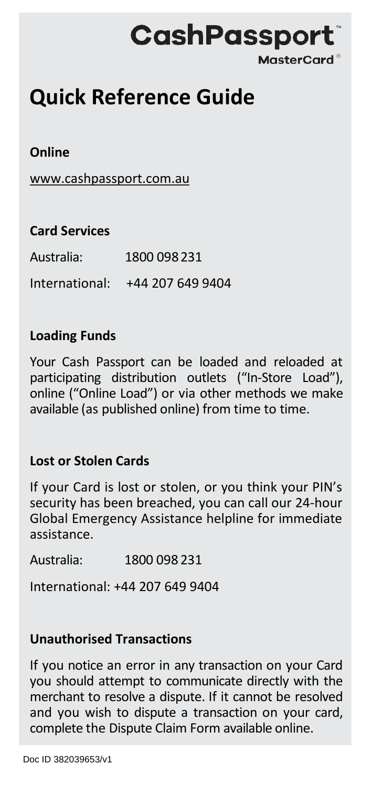# **CashPassport MasterCard®**

# **Quick Reference Guide**

#### **Online**

[www.cashpassport.com.au](http://www.cashpassport.com.au/)

| <b>Card Services</b> |                                 |
|----------------------|---------------------------------|
| Australia:           | 1800 098 231                    |
|                      | International: +44 207 649 9404 |

#### **Loading Funds**

Your Cash Passport can be loaded and reloaded at participating distribution outlets ("In-Store Load"), online ("Online Load") or via other methods we make available (as published online) from time to time.

#### **Lost or Stolen Cards**

If your Card is lost or stolen, or you think your PIN's security has been breached, you can call our 24-hour Global Emergency Assistance helpline for immediate assistance.

Australia: 1800 098 231

International: +44 207 649 9404

#### **Unauthorised Transactions**

If you notice an error in any transaction on your Card you should attempt to communicate directly with the merchant to resolve a dispute. If it cannot be resolved and you wish to dispute a transaction on your card, complete the Dispute Claim Form available online.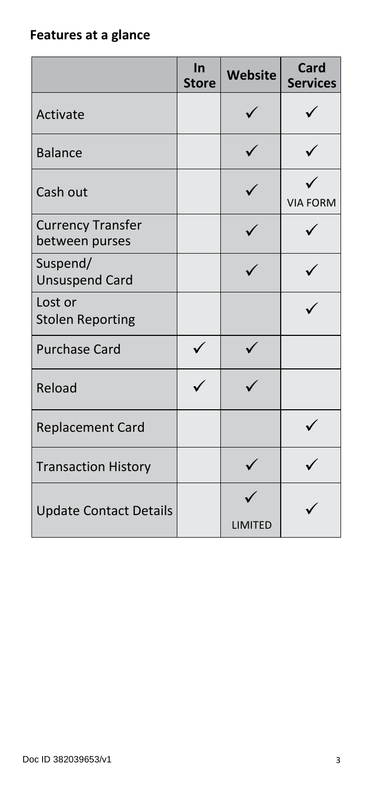# **Features at a glance**

|                                            | In<br><b>Store</b> | Website | <b>Card</b><br><b>Services</b> |
|--------------------------------------------|--------------------|---------|--------------------------------|
| Activate                                   |                    |         |                                |
| <b>Balance</b>                             |                    |         |                                |
| Cash out                                   |                    |         | <b>VIA FORM</b>                |
| <b>Currency Transfer</b><br>between purses |                    |         |                                |
| Suspend/<br><b>Unsuspend Card</b>          |                    |         |                                |
| Lost or<br><b>Stolen Reporting</b>         |                    |         |                                |
| <b>Purchase Card</b>                       |                    |         |                                |
| Reload                                     |                    |         |                                |
| <b>Replacement Card</b>                    |                    |         |                                |
| <b>Transaction History</b>                 |                    |         |                                |
| <b>Update Contact Details</b>              |                    | LIMITED |                                |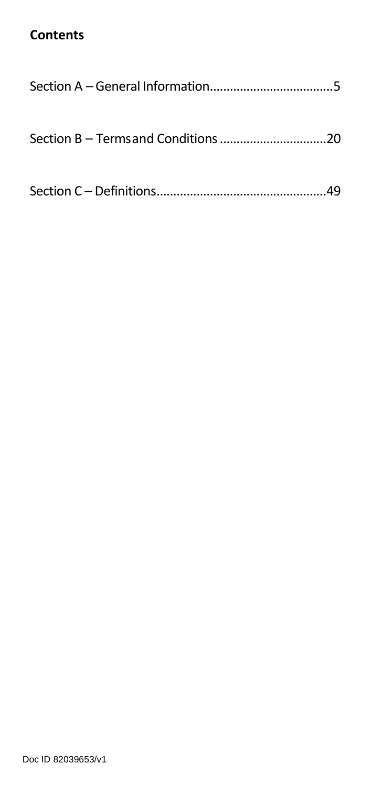# **Contents**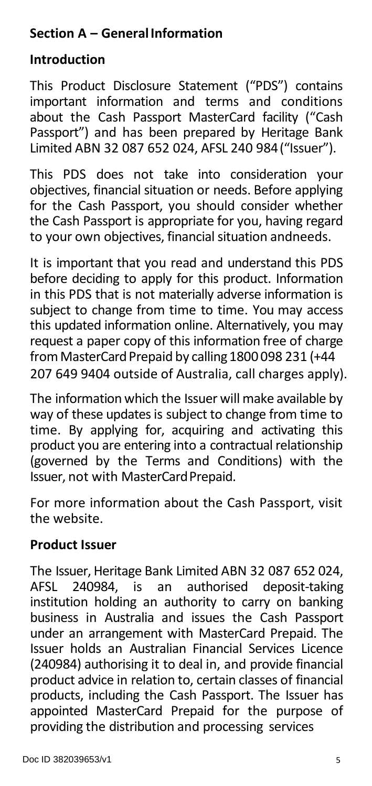# **Section A – GeneralInformation**

# **Introduction**

This Product Disclosure Statement ("PDS") contains important information and terms and conditions about the Cash Passport MasterCard facility ("Cash Passport") and has been prepared by Heritage Bank Limited ABN 32 087 652 024, AFSL 240 984("Issuer").

This PDS does not take into consideration your objectives, financial situation or needs. Before applying for the Cash Passport, you should consider whether the Cash Passport is appropriate for you, having regard to your own objectives, financial situation andneeds.

It is important that you read and understand this PDS before deciding to apply for this product. Information in this PDS that is not materially adverse information is subject to change from time to time. You may access this updated information online. Alternatively, you may request a paper copy of this information free of charge from MasterCard Prepaid by calling 1800 098 231 (+44 207 649 9404 outside of Australia, call charges apply).

The information which the Issuer will make available by way of these updates is subject to change from time to time. By applying for, acquiring and activating this product you are entering into a contractual relationship (governed by the Terms and Conditions) with the Issuer, not with MasterCardPrepaid.

For more information about the Cash Passport, visit the website.

# **Product Issuer**

The Issuer, Heritage Bank Limited ABN 32 087 652 024, authorised deposit-taking institution holding an authority to carry on banking business in Australia and issues the Cash Passport under an arrangement with MasterCard Prepaid. The Issuer holds an Australian Financial Services Licence (240984) authorising it to deal in, and provide financial product advice in relation to, certain classes of financial products, including the Cash Passport. The Issuer has appointed MasterCard Prepaid for the purpose of providing the distribution and processing services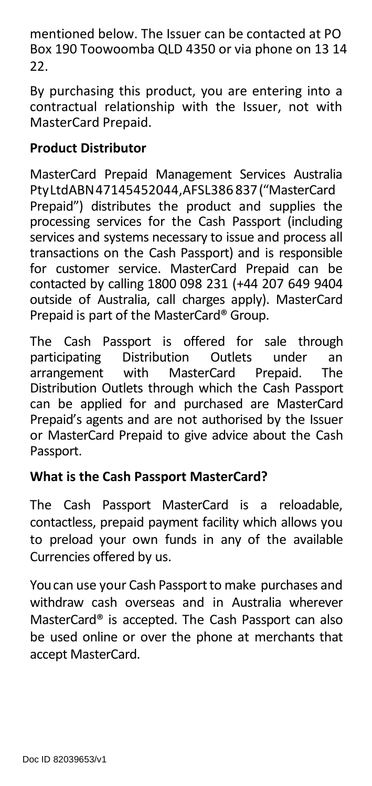mentioned below. The Issuer can be contacted at PO Box 190 Toowoomba QLD 4350 or via phone on 13 14 22.

By purchasing this product, you are entering into a contractual relationship with the Issuer, not with MasterCard Prepaid.

# **Product Distributor**

MasterCard Prepaid Management Services Australia PtyLtdABN47145452044,AFSL386 837("MasterCard Prepaid") distributes the product and supplies the processing services for the Cash Passport (including services and systems necessary to issue and process all transactions on the Cash Passport) and is responsible for customer service. MasterCard Prepaid can be contacted by calling 1800 098 231 (+44 207 649 9404 outside of Australia, call charges apply). MasterCard Prepaid is part of the MasterCard® Group.

The Cash Passport is offered for sale through<br>participating Distribution Outlets under an Distribution Outlets under an<br>with MasterCard Prepaid. The arrangement with MasterCard Prepaid. The Distribution Outlets through which the Cash Passport can be applied for and purchased are MasterCard Prepaid's agents and are not authorised by the Issuer or MasterCard Prepaid to give advice about the Cash Passport.

# **What is the Cash Passport MasterCard?**

The Cash Passport MasterCard is a reloadable, contactless, prepaid payment facility which allows you to preload your own funds in any of the available Currencies offered by us.

You can use your Cash Passport to make purchases and withdraw cash overseas and in Australia wherever MasterCard® is accepted. The Cash Passport can also be used online or over the phone at merchants that accept MasterCard.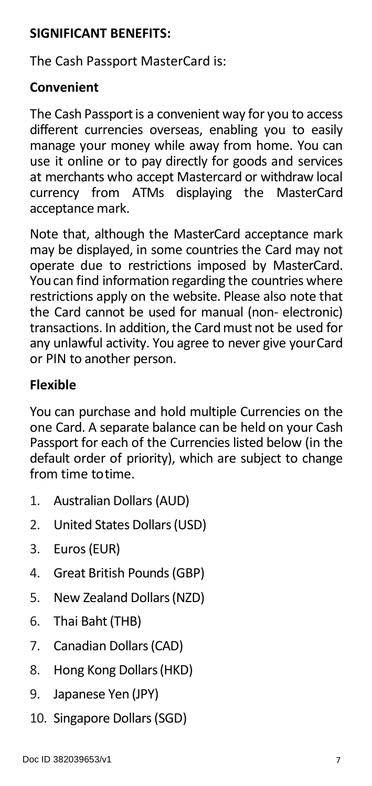# **SIGNIFICANT BENEFITS:**

The Cash Passport MasterCard is:

# **Convenient**

The Cash Passport is a convenient way for you to access different currencies overseas, enabling you to easily manage your money while away from home. You can use it online or to pay directly for goods and services at merchants who accept Mastercard or withdraw local<br>currency from ATMs displaying the MasterCard from ATMs displaying the acceptance mark.

Note that, although the MasterCard acceptance mark may be displayed, in some countries the Card may not operate due to restrictions imposed by MasterCard. Youcan find information regarding the countries where restrictions apply on the website. Please also note that the Card cannot be used for manual (non- electronic) transactions. In addition, the Card must not be used for any unlawful activity. You agree to never give yourCard or PIN to another person.

# **Flexible**

You can purchase and hold multiple Currencies on the one Card. A separate balance can be held on your Cash Passport for each of the Currencies listed below (in the default order of priority), which are subject to change from time totime.

- 1. Australian Dollars (AUD)
- 2. United States Dollars(USD)
- 3. Euros(EUR)
- 4. Great British Pounds(GBP)
- 5. New Zealand Dollars(NZD)
- 6. Thai Baht(THB)
- 7. Canadian Dollars(CAD)
- 8. Hong Kong Dollars(HKD)
- 9. Japanese Yen (JPY)
- 10. Singapore Dollars(SGD)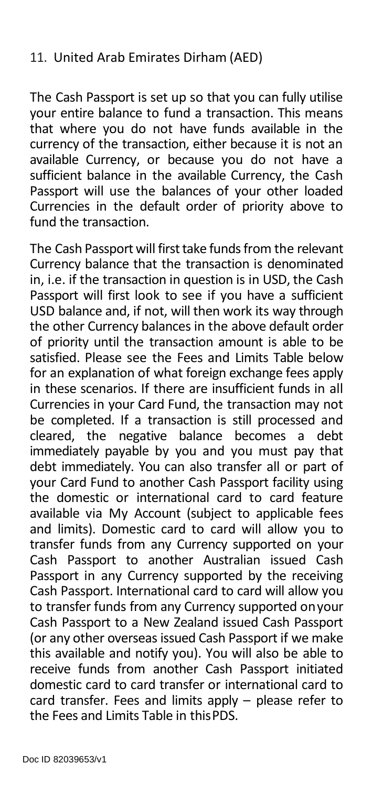#### 11. United Arab Emirates Dirham (AED)

The Cash Passport is set up so that you can fully utilise your entire balance to fund a transaction. This means that where you do not have funds available in the currency of the transaction, either because it is not an available Currency, or because you do not have a sufficient balance in the available Currency, the Cash Passport will use the balances of your other loaded Currencies in the default order of priority above to fund the transaction.

The Cash Passport will first take funds from the relevant Currency balance that the transaction is denominated in, i.e. if the transaction in question is in USD, the Cash Passport will first look to see if you have a sufficient USD balance and, if not, will then work its way through the other Currency balances in the above default order of priority until the transaction amount is able to be satisfied. Please see the Fees and Limits Table below for an explanation of what foreign exchange fees apply in these scenarios. If there are insufficient funds in all Currencies in your Card Fund, the transaction may not be completed. If a transaction is still processed and<br>cleared. the negative balance becomes a debt cleared, the negative balance becomes a immediately payable by you and you must pay that debt immediately. You can also transfer all or part of your Card Fund to another Cash Passport facility using the domestic or international card to card feature available via My Account (subject to applicable fees and limits). Domestic card to card will allow you to transfer funds from any Currency supported on your Cash Passport to another Australian issued Cash Passport in any Currency supported by the receiving Cash Passport. International card to card will allow you to transfer funds from any Currency supported onyour Cash Passport to a New Zealand issued Cash Passport (or any other overseas issued Cash Passport if we make this available and notify you). You will also be able to receive funds from another Cash Passport initiated domestic card to card transfer or international card to card transfer. Fees and limits apply – please refer to the Fees and Limits Table in thisPDS.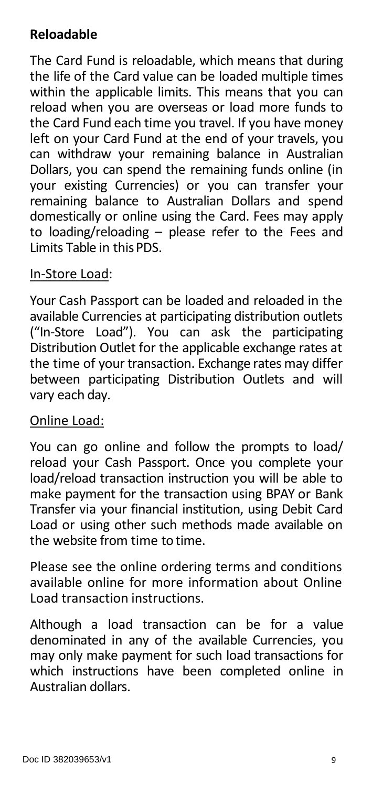# **Reloadable**

The Card Fund is reloadable, which means that during the life of the Card value can be loaded multiple times within the applicable limits. This means that you can reload when you are overseas or load more funds to the Card Fund each time you travel. If you have money left on your Card Fund at the end of your travels, you can withdraw your remaining balance in Australian Dollars, you can spend the remaining funds online (in your existing Currencies) or you can transfer your remaining balance to Australian Dollars and spend domestically or online using the Card. Fees may apply to loading/reloading – please refer to the Fees and Limits Table in thisPDS.

#### In-Store Load:

Your Cash Passport can be loaded and reloaded in the available Currencies at participating distribution outlets ("In-Store Load"). You can ask the participating Distribution Outlet for the applicable exchange rates at the time of your transaction. Exchange rates may differ between participating Distribution Outlets and will vary each day.

#### Online Load:

You can go online and follow the prompts to load/ reload your Cash Passport. Once you complete your load/reload transaction instruction you will be able to make payment for the transaction using BPAY or Bank Transfer via your financial institution, using Debit Card Load or using other such methods made available on the website from time to time.

Please see the online ordering terms and conditions available online for more information about Online Load transaction instructions.

Although a load transaction can be for a value denominated in any of the available Currencies, you may only make payment for such load transactions for which instructions have been completed online in Australian dollars.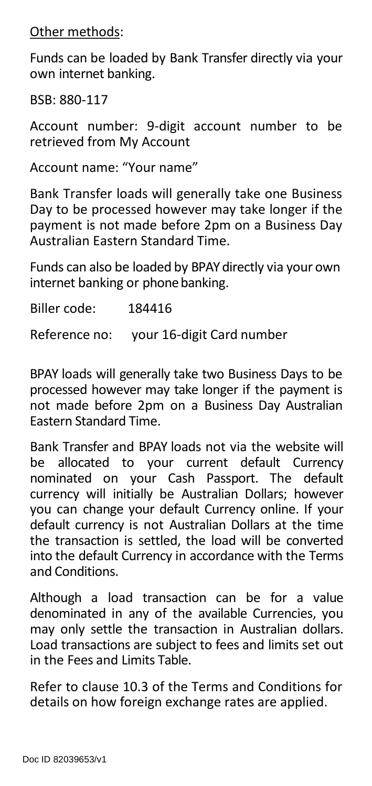Other methods:

Funds can be loaded by Bank Transfer directly via your own internet banking.

BSB: 880-117

Account number: 9-digit account number to be retrieved from My Account

Account name: "Your name"

Bank Transfer loads will generally take one Business Day to be processed however may take longer if the payment is not made before 2pm on a Business Day Australian Eastern Standard Time.

Funds can also be loaded by BPAY directly via your own internet banking or phone banking.

Biller code: 184416

Reference no: your 16-digit Card number

BPAY loads will generally take two Business Days to be processed however may take longer if the payment is not made before 2pm on a Business Day Australian Eastern Standard Time.

Bank Transfer and BPAY loads not via the website will be allocated to your current default Currency nominated on your Cash Passport. The default currency will initially be Australian Dollars; however you can change your default Currency online. If your default currency is not Australian Dollars at the time the transaction is settled, the load will be converted into the default Currency in accordance with the Terms and Conditions.

Although a load transaction can be for a value denominated in any of the available Currencies, you may only settle the transaction in Australian dollars. Load transactions are subject to fees and limits set out in the Fees and Limits Table.

Refer to clause 10.3 of the Terms and Conditions for details on how foreign exchange rates are applied.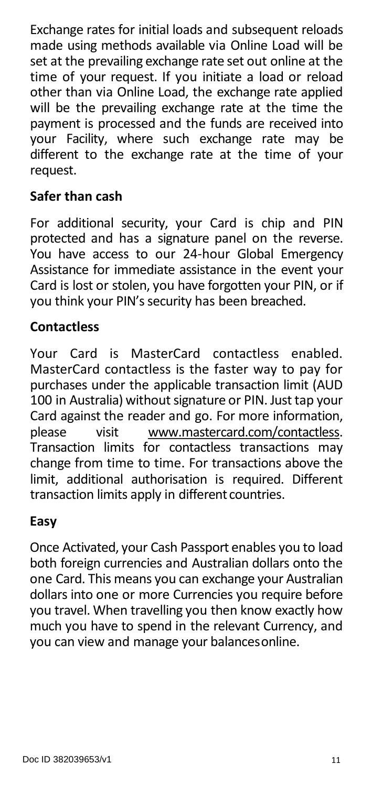Exchange rates for initial loads and subsequent reloads made using methods available via Online Load will be set at the prevailing exchange rate set out online at the time of your request. If you initiate a load or reload other than via Online Load, the exchange rate applied will be the prevailing exchange rate at the time the payment is processed and the funds are received into your Facility, where such exchange rate may be different to the exchange rate at the time of your request.

#### **Safer than cash**

For additional security, your Card is chip and PIN protected and has a signature panel on the reverse. You have access to our 24-hour Global Emergency Assistance for immediate assistance in the event your Card is lost or stolen, you have forgotten your PIN, or if you think your PIN's security has been breached.

# **Contactless**

Your Card is MasterCard contactless enabled. MasterCard contactless is the faster way to pay for purchases under the applicable transaction limit (AUD 100 in Australia) without signature or PIN. Just tap your Card against the reader and go. For more information, please visit [www.mastercard.com/contactless.](http://www.mastercard.com/contactless) Transaction limits for contactless transactions may change from time to time. For transactions above the limit, additional authorisation is required. Different transaction limits apply in different countries.

# **Easy**

Once Activated, your Cash Passport enables you to load both foreign currencies and Australian dollars onto the one Card. This means you can exchange your Australian dollars into one or more Currencies you require before you travel. When travelling you then know exactly how much you have to spend in the relevant Currency, and you can view and manage your balancesonline.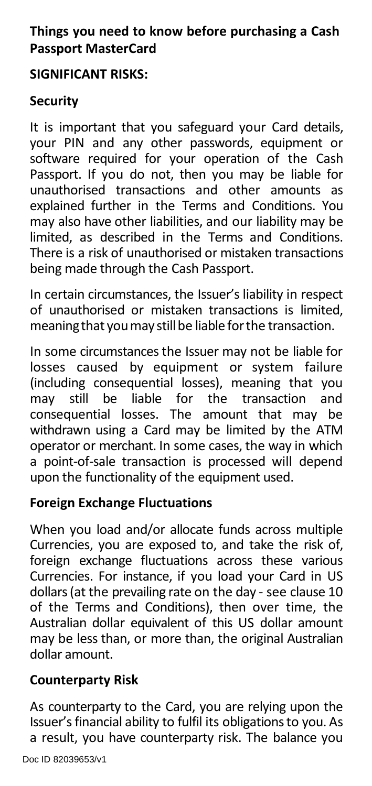# **Things you need to know before purchasing a Cash Passport MasterCard**

#### **SIGNIFICANT RISKS:**

# **Security**

It is important that you safeguard your Card details, your PIN and any other passwords, equipment or software required for your operation of the Cash Passport. If you do not, then you may be liable for unauthorised transactions and other amounts as explained further in the Terms and Conditions. You may also have other liabilities, and our liability may be limited, as described in the Terms and Conditions. There is a risk of unauthorised or mistaken transactions being made through the Cash Passport.

In certain circumstances, the Issuer's liability in respect of unauthorised or mistaken transactions is limited, meaning that you may still be liable for the transaction.

In some circumstances the Issuer may not be liable for losses caused by equipment or system failure (including consequential losses), meaning that you still be liable for the transaction consequential losses. The amount that may be withdrawn using a Card may be limited by the ATM operator or merchant. In some cases, the way in which a point-of-sale transaction is processed will depend upon the functionality of the equipment used.

# **Foreign Exchange Fluctuations**

When you load and/or allocate funds across multiple Currencies, you are exposed to, and take the risk of, foreign exchange fluctuations across these various Currencies. For instance, if you load your Card in US dollars (at the prevailing rate on the day - see clause 10 of the Terms and Conditions), then over time, the Australian dollar equivalent of this US dollar amount may be less than, or more than, the original Australian dollar amount.

# **Counterparty Risk**

As counterparty to the Card, you are relying upon the Issuer's financial ability to fulfil its obligations to you. As a result, you have counterparty risk. The balance you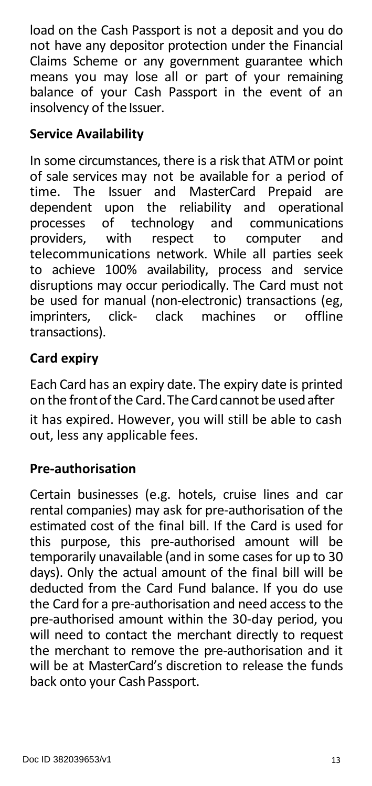load on the Cash Passport is not a deposit and you do not have any depositor protection under the Financial Claims Scheme or any government guarantee which means you may lose all or part of your remaining balance of your Cash Passport in the event of an insolvency of the Issuer.

# **Service Availability**

In some circumstances, there is a risk that ATM or point of sale services may not be available for a period of time. The Issuer and MasterCard Prepaid are time. The Issuer and MasterCard Prepaid are<br>dependent upon the reliability and operational dependent upon the reliability and operational<br>processes of technology and communications processes of technology<br>providers, with respect to computer and telecommunications network. While all parties seek to achieve 100% availability, process and service disruptions may occur periodically. The Card must not be used for manual (non-electronic) transactions (eg, imprinters. click- clack machines or offline imprinters, click- clack machines or transactions).

# **Card expiry**

Each Card has an expiry date. The expiry date is printed on the front of the Card. The Card cannot be used after

it has expired. However, you will still be able to cash out, less any applicable fees.

# **Pre-authorisation**

Certain businesses (e.g. hotels, cruise lines and car rental companies) may ask for pre-authorisation of the estimated cost of the final bill. If the Card is used for this purpose, this pre-authorised amount will be temporarily unavailable (and in some cases for up to 30 days). Only the actual amount of the final bill will be deducted from the Card Fund balance. If you do use the Card for a pre-authorisation and need access to the pre-authorised amount within the 30-day period, you will need to contact the merchant directly to request the merchant to remove the pre-authorisation and it will be at MasterCard's discretion to release the funds back onto your CashPassport.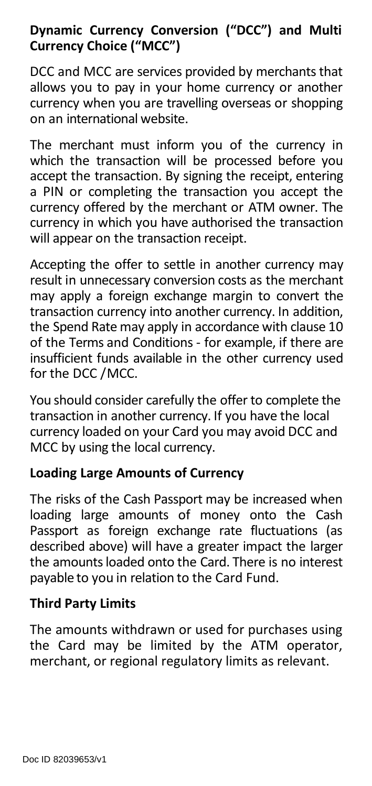# **Dynamic Currency Conversion ("DCC") and Multi Currency Choice ("MCC")**

DCC and MCC are services provided by merchants that allows you to pay in your home currency or another currency when you are travelling overseas or shopping on an international website.

The merchant must inform you of the currency in which the transaction will be processed before you accept the transaction. By signing the receipt, entering a PIN or completing the transaction you accept the currency offered by the merchant or ATM owner. The currency in which you have authorised the transaction will appear on the transaction receipt.

Accepting the offer to settle in another currency may result in unnecessary conversion costs as the merchant may apply a foreign exchange margin to convert the transaction currency into another currency. In addition, the Spend Rate may apply in accordance with clause 10 of the Terms and Conditions - for example, if there are insufficient funds available in the other currency used for the DCC /MCC.

You should consider carefully the offer to complete the transaction in another currency. If you have the local currency loaded on your Card you may avoid DCC and MCC by using the local currency.

# **Loading Large Amounts of Currency**

The risks of the Cash Passport may be increased when loading large amounts of money onto the Cash Passport as foreign exchange rate fluctuations (as described above) will have a greater impact the larger the amountsloaded onto the Card. There is no interest payable to you in relation to the Card Fund.

#### **Third Party Limits**

The amounts withdrawn or used for purchases using the Card may be limited by the ATM operator, merchant, or regional regulatory limits as relevant.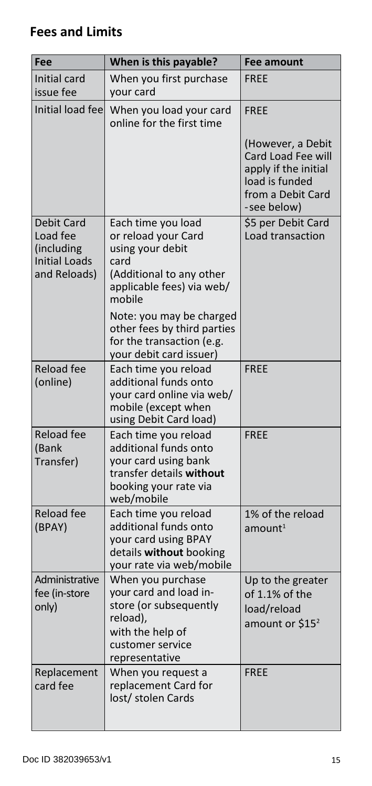# **Fees and Limits**

| Fee                                                                                 | When is this payable?                                                                                                                       | <b>Fee amount</b>                                                                                                     |  |
|-------------------------------------------------------------------------------------|---------------------------------------------------------------------------------------------------------------------------------------------|-----------------------------------------------------------------------------------------------------------------------|--|
| Initial card<br>issue fee                                                           | When you first purchase<br>your card                                                                                                        | <b>FREE</b>                                                                                                           |  |
| Initial load fee                                                                    | When you load your card<br>online for the first time                                                                                        | <b>FREE</b>                                                                                                           |  |
|                                                                                     |                                                                                                                                             | (However, a Debit<br>Card Load Fee will<br>apply if the initial<br>load is funded<br>from a Debit Card<br>-see below) |  |
| <b>Debit Card</b><br>Load fee<br>(including<br><b>Initial Loads</b><br>and Reloads) | Each time you load<br>or reload your Card<br>using your debit<br>card<br>(Additional to any other<br>applicable fees) via web/              | \$5 per Debit Card<br>Load transaction                                                                                |  |
|                                                                                     | mobile<br>Note: you may be charged<br>other fees by third parties<br>for the transaction (e.g.<br>your debit card issuer)                   |                                                                                                                       |  |
| <b>Reload fee</b><br>(online)                                                       | Each time you reload<br>additional funds onto<br>your card online via web/<br>mobile (except when<br>using Debit Card load)                 | <b>FREE</b>                                                                                                           |  |
| <b>Reload fee</b><br>(Bank<br>Transfer)                                             | Each time you reload<br>additional funds onto<br>your card using bank<br>transfer details without<br>booking your rate via<br>web/mobile    | <b>FREE</b>                                                                                                           |  |
| <b>Reload fee</b><br>(BPAY)                                                         | Each time you reload<br>additional funds onto<br>your card using BPAY<br>details without booking<br>your rate via web/mobile                | 1% of the reload<br>amount <sup>1</sup>                                                                               |  |
| Administrative<br>fee (in-store<br>only)                                            | When you purchase<br>your card and load in-<br>store (or subsequently<br>reload),<br>with the help of<br>customer service<br>representative | Up to the greater<br>of 1.1% of the<br>load/reload<br>amount or $$152$                                                |  |
| Replacement<br>card fee                                                             | When you request a<br>replacement Card for<br>lost/ stolen Cards                                                                            | <b>FREE</b>                                                                                                           |  |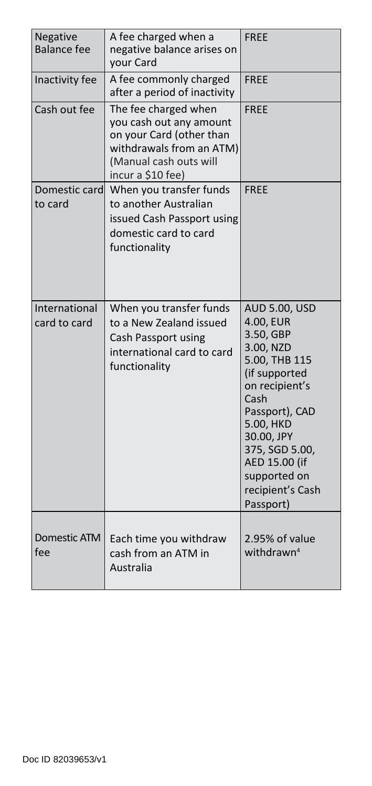| Negative<br><b>Balance fee</b> | A fee charged when a<br>negative balance arises on<br>vour Card                                                                                        | <b>FREE</b>                                                                                                                                                                                                                                              |
|--------------------------------|--------------------------------------------------------------------------------------------------------------------------------------------------------|----------------------------------------------------------------------------------------------------------------------------------------------------------------------------------------------------------------------------------------------------------|
| Inactivity fee                 | A fee commonly charged<br>after a period of inactivity                                                                                                 | <b>FREE</b>                                                                                                                                                                                                                                              |
| Cash out fee                   | The fee charged when<br>you cash out any amount<br>on your Card (other than<br>withdrawals from an ATM)<br>(Manual cash outs will<br>incur a \$10 fee) | <b>FREE</b>                                                                                                                                                                                                                                              |
| Domestic card<br>to card       | When you transfer funds<br>to another Australian<br>issued Cash Passport using<br>domestic card to card<br>functionality                               | <b>FREE</b>                                                                                                                                                                                                                                              |
| International<br>card to card  | When you transfer funds<br>to a New Zealand issued<br>Cash Passport using<br>international card to card<br>functionality                               | <b>AUD 5.00, USD</b><br>4.00, EUR<br>3.50, GBP<br>3.00, NZD<br>5.00, THB 115<br>(if supported<br>on recipient's<br>Cash<br>Passport), CAD<br>5.00, HKD<br>30.00, JPY<br>375, SGD 5.00,<br>AED 15.00 (if<br>supported on<br>recipient's Cash<br>Passport) |
| Domestic ATM<br>fee            | Each time you withdraw<br>cash from an ATM in<br>Australia                                                                                             | 2.95% of value<br>withdrawn $4$                                                                                                                                                                                                                          |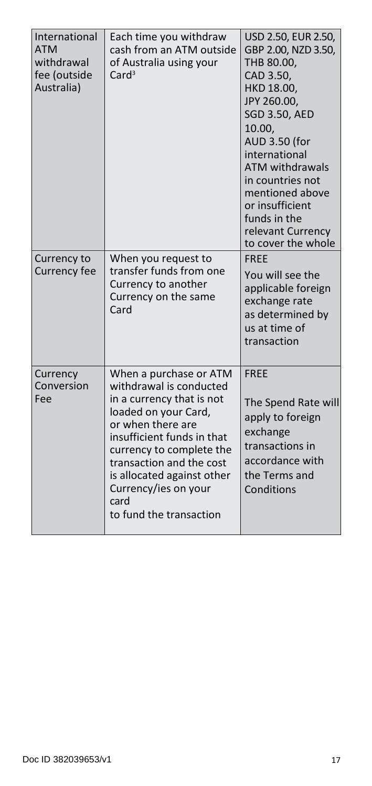| International<br><b>ATM</b><br>withdrawal<br>fee (outside<br>Australia) | Each time you withdraw<br>cash from an ATM outside<br>of Australia using your<br>Card <sup>3</sup>                                                                                                                                                                                                         | USD 2.50, EUR 2.50,<br>GBP 2.00, NZD 3.50,<br>THB 80.00,<br>CAD 3.50,<br>HKD 18.00,<br>JPY 260.00,<br><b>SGD 3.50, AED</b><br>10.00,<br>AUD 3.50 (for<br>international<br><b>ATM withdrawals</b><br>in countries not<br>mentioned above<br>or insufficient<br>funds in the<br>relevant Currency<br>to cover the whole |
|-------------------------------------------------------------------------|------------------------------------------------------------------------------------------------------------------------------------------------------------------------------------------------------------------------------------------------------------------------------------------------------------|-----------------------------------------------------------------------------------------------------------------------------------------------------------------------------------------------------------------------------------------------------------------------------------------------------------------------|
| Currency to<br>Currency fee                                             | When you request to<br>transfer funds from one<br>Currency to another<br>Currency on the same<br>Card                                                                                                                                                                                                      | FREE<br>You will see the<br>applicable foreign<br>exchange rate<br>as determined by<br>us at time of<br>transaction                                                                                                                                                                                                   |
| Currency<br>Conversion<br>Fee                                           | When a purchase or ATM<br>withdrawal is conducted<br>in a currency that is not<br>loaded on your Card,<br>or when there are<br>insufficient funds in that<br>currency to complete the<br>transaction and the cost<br>is allocated against other<br>Currency/ies on your<br>card<br>to fund the transaction | <b>FRFF</b><br>The Spend Rate will<br>apply to foreign<br>exchange<br>transactions in<br>accordance with<br>the Terms and<br>Conditions                                                                                                                                                                               |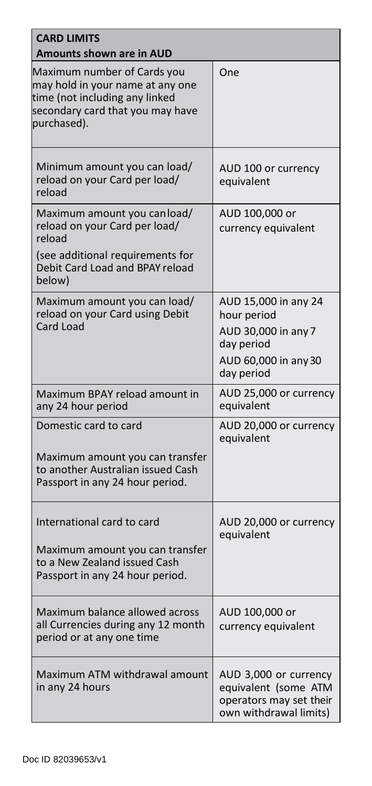| <b>CARD LIMITS</b><br>Amounts shown are in AUD                                                                                                           |                                                                                                                |  |
|----------------------------------------------------------------------------------------------------------------------------------------------------------|----------------------------------------------------------------------------------------------------------------|--|
| Maximum number of Cards you<br>may hold in your name at any one<br>time (not including any linked<br>secondary card that you may have<br>purchased).     | One                                                                                                            |  |
| Minimum amount you can load/<br>reload on your Card per load/<br>reload                                                                                  | AUD 100 or currency<br>equivalent                                                                              |  |
| Maximum amount you can load/<br>reload on your Card per load/<br>reload<br>(see additional requirements for<br>Debit Card Load and BPAY reload<br>below) | AUD 100,000 or<br>currency equivalent                                                                          |  |
| Maximum amount you can load/<br>reload on your Card using Debit<br>Card Load                                                                             | AUD 15,000 in any 24<br>hour period<br>AUD 30,000 in any 7<br>day period<br>AUD 60,000 in any 30<br>day period |  |
| Maximum BPAY reload amount in<br>any 24 hour period                                                                                                      | AUD 25,000 or currency<br>equivalent                                                                           |  |
| Domestic card to card<br>Maximum amount you can transfer<br>to another Australian issued Cash<br>Passport in any 24 hour period.                         | AUD 20,000 or currency<br>equivalent                                                                           |  |
| International card to card<br>Maximum amount you can transfer<br>to a New Zealand issued Cash<br>Passport in any 24 hour period.                         | AUD 20,000 or currency<br>equivalent                                                                           |  |
| Maximum balance allowed across<br>all Currencies during any 12 month<br>period or at any one time                                                        | AUD 100,000 or<br>currency equivalent                                                                          |  |
| Maximum ATM withdrawal amount<br>in any 24 hours                                                                                                         | AUD 3,000 or currency<br>equivalent (some ATM<br>operators may set their<br>own withdrawal limits)             |  |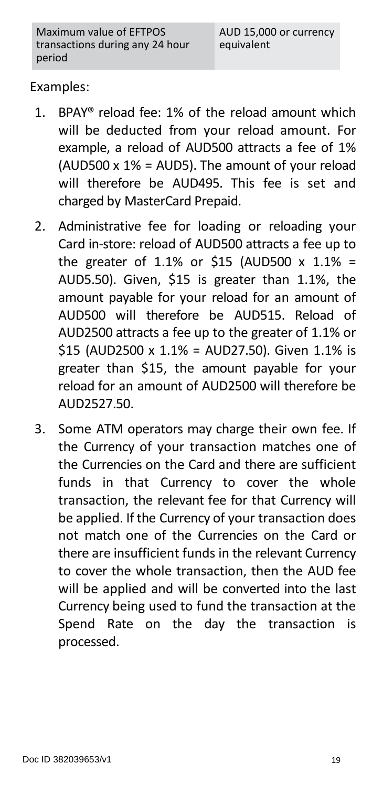#### Examples:

- 1. BPAY® reload fee: 1% of the reload amount which will be deducted from your reload amount. For example, a reload of AUD500 attracts a fee of 1% (AUD500 x 1% = AUD5). The amount of your reload will therefore be AUD495. This fee is set and charged by MasterCard Prepaid.
- 2. Administrative fee for loading or reloading your Card in-store: reload of AUD500 attracts a fee up to the greater of 1.1% or \$15 (AUD500  $\times$  1.1% = AUD5.50). Given, \$15 is greater than 1.1%, the amount payable for your reload for an amount of AUD500 will therefore be AUD515. Reload of AUD2500 attracts a fee up to the greater of 1.1% or \$15 (AUD2500 x 1.1% = AUD27.50). Given 1.1% is greater than \$15, the amount payable for your reload for an amount of AUD2500 will therefore be AUD2527.50.
- 3. Some ATM operators may charge their own fee. If the Currency of your transaction matches one of the Currencies on the Card and there are sufficient funds in that Currency to cover the whole transaction, the relevant fee for that Currency will be applied. If the Currency of your transaction does not match one of the Currencies on the Card or there are insufficient funds in the relevant Currency to cover the whole transaction, then the AUD fee will be applied and will be converted into the last Currency being used to fund the transaction at the Spend Rate on the day the transaction is processed.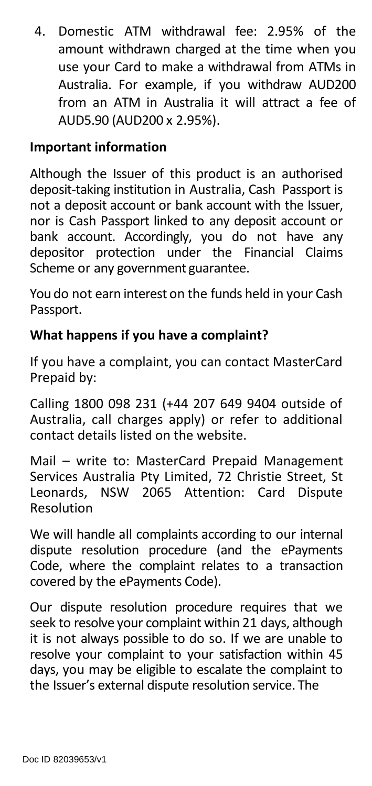4. Domestic ATM withdrawal fee: 2.95% of the amount withdrawn charged at the time when you use your Card to make a withdrawal from ATMs in Australia. For example, if you withdraw AUD200 from an ATM in Australia it will attract a fee of AUD5.90 (AUD200 x 2.95%).

#### **Important information**

Although the Issuer of this product is an authorised deposit-taking institution in Australia, Cash Passport is not a deposit account or bank account with the Issuer, nor is Cash Passport linked to any deposit account or bank account. Accordingly, you do not have any depositor protection under the Financial Claims Scheme or any government guarantee.

You do not earn interest on the funds held in your Cash Passport.

#### **What happens if you have a complaint?**

If you have a complaint, you can contact MasterCard Prepaid by:

Calling 1800 098 231 (+44 207 649 9404 outside of Australia, call charges apply) or refer to additional contact details listed on the website.

Mail – write to: MasterCard Prepaid Management Services Australia Pty Limited, 72 Christie Street, St Leonards, NSW 2065 Attention: Card Dispute Resolution

We will handle all complaints according to our internal dispute resolution procedure (and the ePayments Code, where the complaint relates to a transaction covered by the ePayments Code).

Our dispute resolution procedure requires that we seek to resolve your complaint within 21 days, although it is not always possible to do so. If we are unable to resolve your complaint to your satisfaction within 45 days, you may be eligible to escalate the complaint to the Issuer's external dispute resolution service. The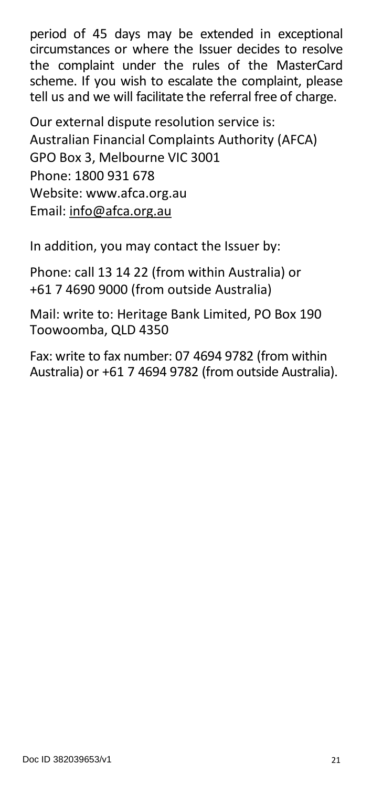period of 45 days may be extended in exceptional circumstances or where the Issuer decides to resolve the complaint under the rules of the MasterCard scheme. If you wish to escalate the complaint, please tell us and we will facilitate the referral free of charge.

Our external dispute resolution service is: Australian Financial Complaints Authority (AFCA) GPO Box 3, Melbourne VIC 3001 Phone: 1800 931 678 Website: [www.afca.org.au](http://www.afca.org.au/) Email[: info@afca.org.au](mailto:info@afca.org.au)

In addition, you may contact the Issuer by:

Phone: call 13 14 22 (from within Australia) or +61 7 4690 9000 (from outside Australia)

Mail: write to: Heritage Bank Limited, PO Box 190 Toowoomba, QLD 4350

Fax: write to fax number: 07 4694 9782 (from within Australia) or +61 7 4694 9782 (from outside Australia).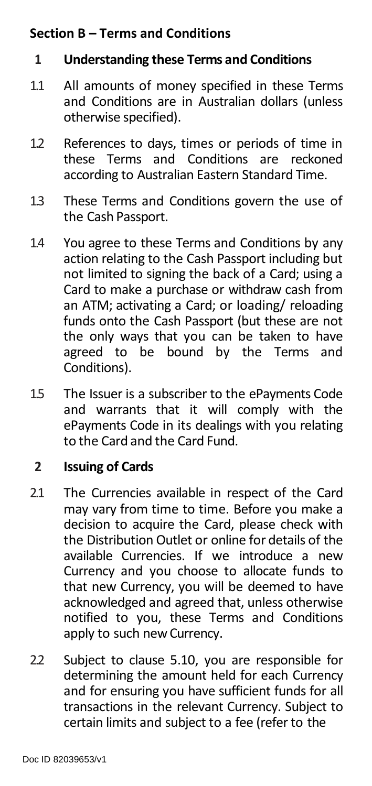# <span id="page-21-0"></span>**Section B – Terms and Conditions**

#### **1 Understanding these Terms and Conditions**

- 1.1 All amounts of money specified in these Terms and Conditions are in Australian dollars (unless otherwise specified).
- 1.2 References to days, times or periods of time in<br>these Terms and Conditions are reckoned these Terms and Conditions according to Australian Eastern Standard Time.
- 1.3 These Terms and Conditions govern the use of the Cash Passport.
- 1.4 You agree to these Terms and Conditions by any action relating to the Cash Passport including but not limited to signing the back of a Card; using a Card to make a purchase or withdraw cash from an ATM; activating a Card; or loading/ reloading funds onto the Cash Passport (but these are not the only ways that you can be taken to have agreed to be bound by the Terms and Conditions).
- 1.5 The Issuer is a subscriber to the ePayments Code and warrants that it will comply with the ePayments Code in its dealings with you relating to the Card and the Card Fund.

#### **2 Issuing of Cards**

- 2.1 The Currencies available in respect of the Card may vary from time to time. Before you make a decision to acquire the Card, please check with the Distribution Outlet or online for details of the available Currencies. If we introduce a new Currency and you choose to allocate funds to that new Currency, you will be deemed to have acknowledged and agreed that, unless otherwise notified to you, these Terms and Conditions apply to such new Currency.
- 2.2 Subject to clause 5.10, you are responsible for determining the amount held for each Currency and for ensuring you have sufficient funds for all transactions in the relevant Currency. Subject to certain limits and subject to a fee (refer to the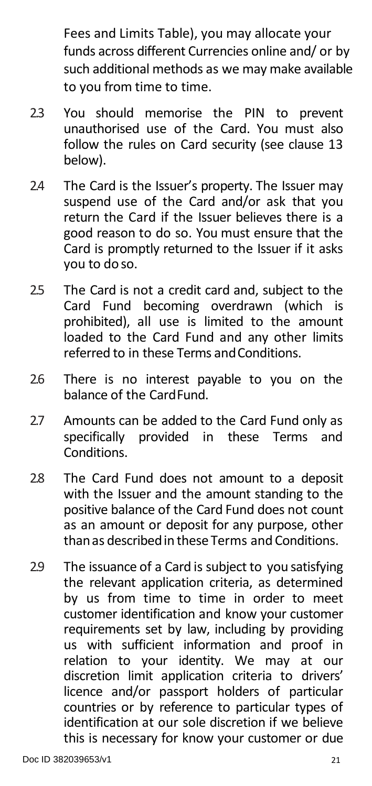Fees and Limits Table), you may allocate your funds across different Currencies online and/ or by such additional methods as we may make available to you from time to time.

- 2.3 You should memorise the PIN to prevent unauthorised use of the Card. You must also follow the rules on Card security (see clause 13 below).
- 2.4 The Card is the Issuer's property. The Issuer may suspend use of the Card and/or ask that you return the Card if the Issuer believes there is a good reason to do so. You must ensure that the Card is promptly returned to the Issuer if it asks you to do so.
- 2.5 The Card is not a credit card and, subject to the Card Fund becoming overdrawn (which is prohibited), all use is limited to the amount loaded to the Card Fund and any other limits referred to in these Terms andConditions.
- 2.6 There is no interest payable to you on the balance of the CardFund.
- 2.7 Amounts can be added to the Card Fund only as<br>specifically provided in these Terms and specifically provided in Conditions.
- 2.8 The Card Fund does not amount to a deposit with the Issuer and the amount standing to the positive balance of the Card Fund does not count as an amount or deposit for any purpose, other thanas describedin theseTerms and Conditions.
- 2.9 The issuance of a Card is subject to you satisfying the relevant application criteria, as determined by us from time to time in order to meet customer identification and know your customer requirements set by law, including by providing us with sufficient information and proof in relation to your identity. We may at our discretion limit application criteria to drivers' licence and/or passport holders of particular countries or by reference to particular types of identification at our sole discretion if we believe this is necessary for know your customer or due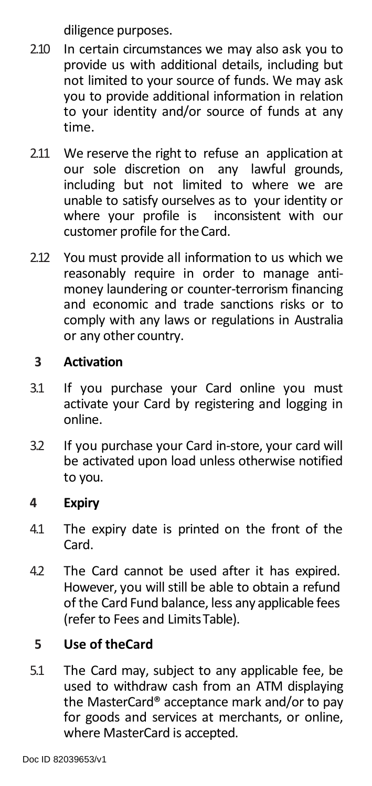diligence purposes.

- 2.10 In certain circumstances we may also ask you to provide us with additional details, including but not limited to your source of funds. We may ask you to provide additional information in relation to your identity and/or source of funds at any time.
- 2.11 We reserve the right to refuse an application at our sole discretion on any lawful grounds, including but not limited to where we are unable to satisfy ourselves as to your identity or where your profile is inconsistent with our customer profile for theCard.
- 2.12 You must provide all information to us which we reasonably require in order to manage antimoney laundering or counter-terrorism financing and economic and trade sanctions risks or to comply with any laws or regulations in Australia or any other country.

# **3 Activation**

- 3.1 If you purchase your Card online you must activate your Card by registering and logging in online.
- 3.2 If you purchase your Card in-store, your card will be activated upon load unless otherwise notified to you.

# **4 Expiry**

- 4.1 The expiry date is printed on the front of the Card.
- 4.2 The Card cannot be used after it has expired. However, you will still be able to obtain a refund of the Card Fund balance, less any applicable fees (refer to Fees and LimitsTable).

# **5 Use of theCard**

5.1 The Card may, subject to any applicable fee, be used to withdraw cash from an ATM displaying the MasterCard® acceptance mark and/or to pay for goods and services at merchants, or online, where MasterCard is accepted.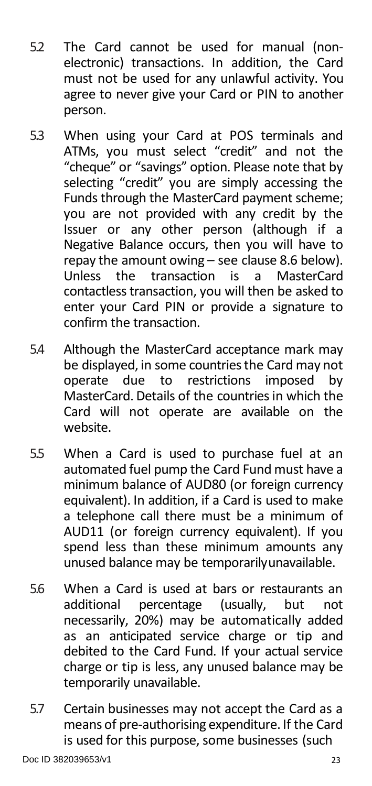- 5.2 The Card cannot be used for manual (nonelectronic) transactions. In addition, the Card must not be used for any unlawful activity. You agree to never give your Card or PIN to another person.
- 5.3 When using your Card at POS terminals and ATMs, you must select "credit" and not the "cheque" or "savings" option. Please note that by selecting "credit" you are simply accessing the Funds through the MasterCard payment scheme; you are not provided with any credit by the Issuer or any other person (although if a Negative Balance occurs, then you will have to repay the amount owing – see clause 8.6 below).<br>Unless the transaction is a MasterCard Unless the transaction is a contactless transaction, you will then be asked to enter your Card PIN or provide a signature to confirm the transaction.
- 5.4 Although the MasterCard acceptance mark may be displayed, in some countries the Card may not operate due to restrictions imposed by restrictions MasterCard. Details of the countriesin which the Card will not operate are available on the website.
- 5.5 When a Card is used to purchase fuel at an automated fuel pump the Card Fund must have a minimum balance of AUD80 (or foreign currency equivalent). In addition, if a Card is used to make a telephone call there must be a minimum of AUD11 (or foreign currency equivalent). If you spend less than these minimum amounts any unused balance may be temporarilyunavailable.
- 5.6 When a Card is used at bars or restaurants an additional percentage (usually, but not necessarily, 20%) may be automatically added as an anticipated service charge or tip and debited to the Card Fund. If your actual service charge or tip is less, any unused balance may be temporarily unavailable.
- 5.7 Certain businesses may not accept the Card as a means of pre-authorising expenditure. If the Card is used for this purpose, some businesses (such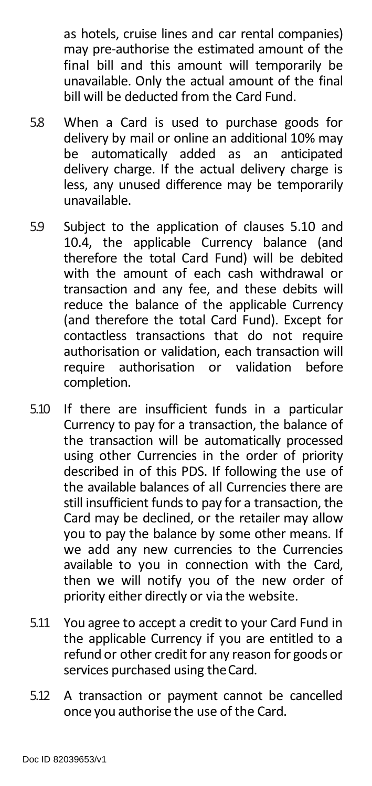as hotels, cruise lines and car rental companies) may pre-authorise the estimated amount of the final bill and this amount will temporarily be unavailable. Only the actual amount of the final bill will be deducted from the Card Fund.

- 5.8 When a Card is used to purchase goods for delivery by mail or online an additional 10% may<br>be automatically added as an anticipated be automatically added as delivery charge. If the actual delivery charge is less, any unused difference may be temporarily unavailable.
- 5.9 Subject to the application of clauses 5.10 and 10.4, the applicable Currency balance (and therefore the total Card Fund) will be debited with the amount of each cash withdrawal or transaction and any fee, and these debits will reduce the balance of the applicable Currency (and therefore the total Card Fund). Except for contactless transactions that do not require authorisation or validation, each transaction will require authorisation or validation completion.
- 5.10 If there are insufficient funds in a particular Currency to pay for a transaction, the balance of the transaction will be automatically processed using other Currencies in the order of priority described in of this PDS. If following the use of the available balances of all Currencies there are still insufficient funds to pay for a transaction, the Card may be declined, or the retailer may allow you to pay the balance by some other means. If we add any new currencies to the Currencies available to you in connection with the Card, then we will notify you of the new order of priority either directly or via the website.
- 5.11 You agree to accept a credit to your Card Fund in the applicable Currency if you are entitled to a refund or other credit for any reason for goods or services purchased using the Card.
- 5.12 A transaction or payment cannot be cancelled once you authorise the use of the Card.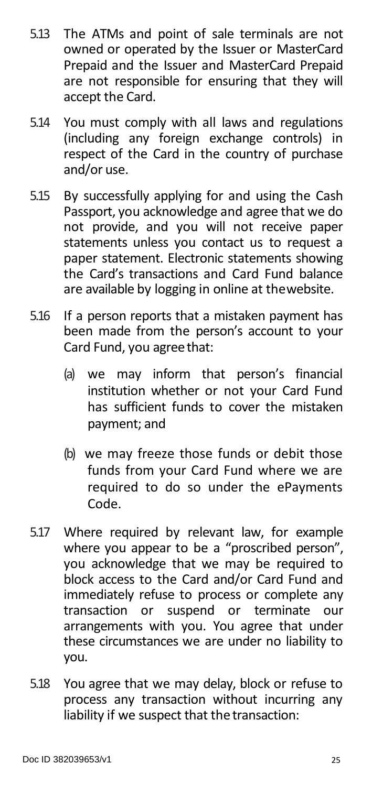- 5.13 The ATMs and point of sale terminals are not owned or operated by the Issuer or MasterCard Prepaid and the Issuer and MasterCard Prepaid are not responsible for ensuring that they will accept the Card.
- 5.14 You must comply with all laws and regulations (including any foreign exchange controls) in respect of the Card in the country of purchase and/or use.
- 5.15 By successfully applying for and using the Cash Passport, you acknowledge and agree that we do not provide, and you will not receive paper statements unless you contact us to request a paper statement. Electronic statements showing the Card's transactions and Card Fund balance are available by logging in online at thewebsite.
- 5.16 If a person reports that a mistaken payment has been made from the person's account to your Card Fund, you agreethat:
	- (a) we may inform that person's financial institution whether or not your Card Fund has sufficient funds to cover the mistaken payment; and
	- (b) we may freeze those funds or debit those funds from your Card Fund where we are required to do so under the ePayments Code.
- 5.17 Where required by relevant law, for example where you appear to be a "proscribed person", you acknowledge that we may be required to block access to the Card and/or Card Fund and immediately refuse to process or complete any transaction or suspend or terminate our arrangements with you. You agree that under these circumstances we are under no liability to you.
- 5.18 You agree that we may delay, block or refuse to process any transaction without incurring any liability if we suspect that the transaction: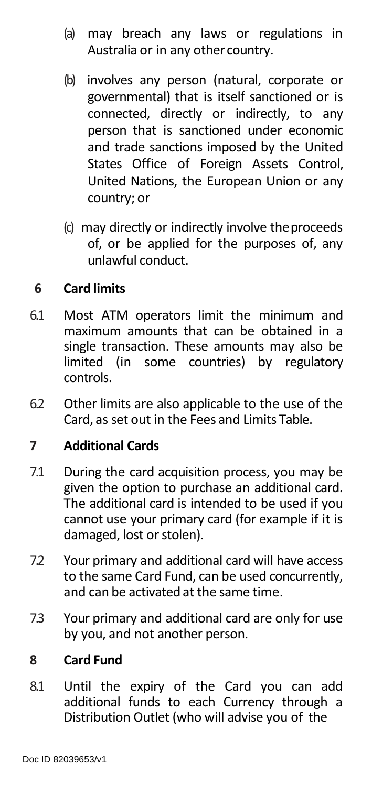- (a) may breach any laws or regulations in Australia or in any othercountry.
- (b) involves any person (natural, corporate or governmental) that is itself sanctioned or is connected, directly or indirectly, to any person that is sanctioned under economic and trade sanctions imposed by the United States Office of Foreign Assets Control, United Nations, the European Union or any country; or
- (c) may directly or indirectly involve theproceeds of, or be applied for the purposes of, any unlawful conduct.

# **6 Card limits**

- 6.1 Most ATM operators limit the minimum and maximum amounts that can be obtained in a single transaction. These amounts may also be limited (in some countries) by regulatory controls.
- 6.2 Other limits are also applicable to the use of the Card, as set out in the Fees and Limits Table.

#### **7 Additional Cards**

- 7.1 During the card acquisition process, you may be given the option to purchase an additional card. The additional card is intended to be used if you cannot use your primary card (for example if it is damaged, lost or stolen).
- 7.2 Your primary and additional card will have access to the same Card Fund, can be used concurrently, and can be activatedat the same time.
- 7.3 Your primary and additional card are only for use by you, and not another person.

#### **8 Card Fund**

8.1 Until the expiry of the Card you can add additional funds to each Currency through a Distribution Outlet (who will advise you of the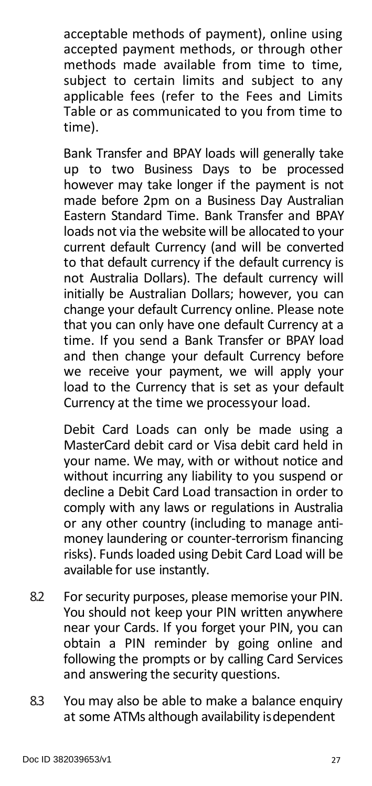acceptable methods of payment), online using accepted payment methods, or through other methods made available from time to time, subject to certain limits and subject to any applicable fees (refer to the Fees and Limits Table or as communicated to you from time to time).

Bank Transfer and BPAY loads will generally take up to two Business Days to be processed however may take longer if the payment is not made before 2pm on a Business Day Australian Eastern Standard Time. Bank Transfer and BPAY loads not via the website will be allocated to your current default Currency (and will be converted to that default currency if the default currency is not Australia Dollars). The default currency will initially be Australian Dollars; however, you can change your default Currency online. Please note that you can only have one default Currency at a time. If you send a Bank Transfer or BPAY load and then change your default Currency before we receive your payment, we will apply your load to the Currency that is set as your default Currency at the time we processyour load.

Debit Card Loads can only be made using a MasterCard debit card or Visa debit card held in your name. We may, with or without notice and without incurring any liability to you suspend or decline a Debit Card Load transaction in order to comply with any laws or regulations in Australia or any other country (including to manage antimoney laundering or counter-terrorism financing risks). Funds loaded using Debit Card Load will be available for use instantly.

- 8.2 For security purposes, please memorise your PIN. You should not keep your PIN written anywhere near your Cards. If you forget your PIN, you can obtain a PIN reminder by going online and following the prompts or by calling Card Services and answering the security questions.
- 8.3 You may also be able to make a balance enquiry at some ATMs although availability isdependent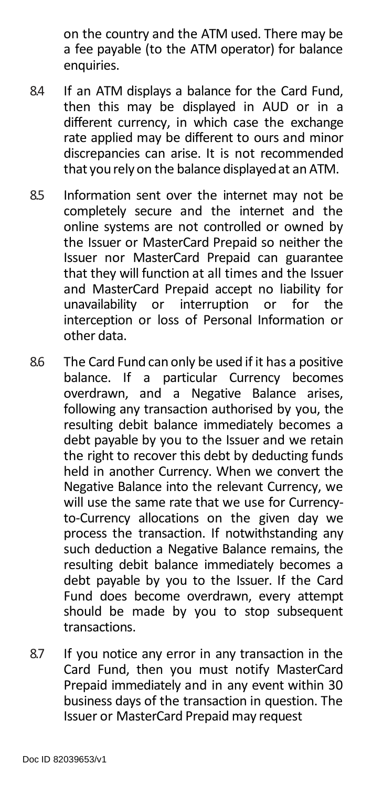on the country and the ATM used. There may be a fee payable (to the ATM operator) for balance enquiries.

- 8.4 If an ATM displays a balance for the Card Fund, then this may be displayed in AUD or in a different currency, in which case the exchange rate applied may be different to ours and minor discrepancies can arise. It is not recommended that yourely on the balance displayedat an ATM.
- 8.5 Information sent over the internet may not be completely secure and the internet and the online systems are not controlled or owned by the Issuer or MasterCard Prepaid so neither the Issuer nor MasterCard Prepaid can guarantee that they will function at all times and the Issuer and MasterCard Prepaid accept no liability for unavailability or interruption or for the interception or loss of Personal Information or other data.
- 8.6 The Card Fund can only be used if it has a positive balance. If a particular Currency becomes overdrawn, and a Negative Balance arises, following any transaction authorised by you, the resulting debit balance immediately becomes a debt payable by you to the Issuer and we retain the right to recover this debt by deducting funds held in another Currency. When we convert the Negative Balance into the relevant Currency, we will use the same rate that we use for Currencyto-Currency allocations on the given day we process the transaction. If notwithstanding any such deduction a Negative Balance remains, the resulting debit balance immediately becomes a debt payable by you to the Issuer. If the Card Fund does become overdrawn, every attempt should be made by you to stop subsequent transactions.
- 8.7 If you notice any error in any transaction in the Card Fund, then you must notify MasterCard Prepaid immediately and in any event within 30 business days of the transaction in question. The Issuer or MasterCard Prepaid may request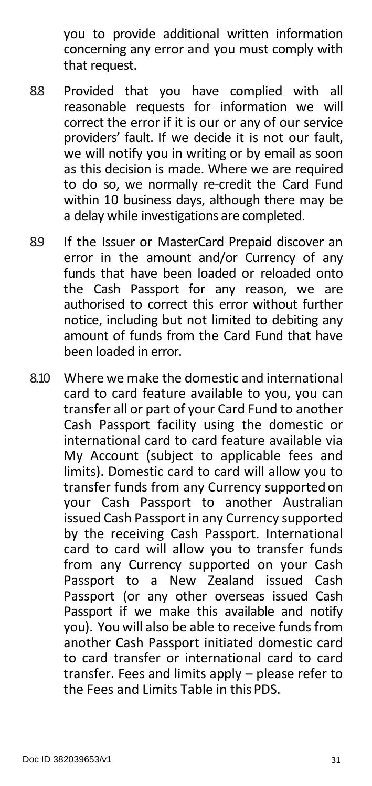you to provide additional written information concerning any error and you must comply with that request.

- 8.8 Provided that you have complied with all reasonable requests for information we will correct the error if it is our or any of our service providers' fault. If we decide it is not our fault, we will notify you in writing or by email as soon as this decision is made. Where we are required to do so, we normally re-credit the Card Fund within 10 business days, although there may be a delay while investigations are completed.
- 8.9 If the Issuer or MasterCard Prepaid discover an error in the amount and/or Currency of any funds that have been loaded or reloaded onto the Cash Passport for any reason, we are authorised to correct this error without further notice, including but not limited to debiting any amount of funds from the Card Fund that have been loaded in error.
- 8.10 Where we make the domestic and international card to card feature available to you, you can transfer all or part of your Card Fund to another Cash Passport facility using the domestic or international card to card feature available via My Account (subject to applicable fees and limits). Domestic card to card will allow you to transfer funds from any Currency supportedon your Cash Passport to another Australian issued Cash Passport in any Currency supported by the receiving Cash Passport. International card to card will allow you to transfer funds from any Currency supported on your Cash Passport to a New Zealand issued Cash Passport (or any other overseas issued Cash Passport if we make this available and notify you). You will also be able to receive funds from another Cash Passport initiated domestic card to card transfer or international card to card transfer. Fees and limits apply – please refer to the Fees and Limits Table in this PDS.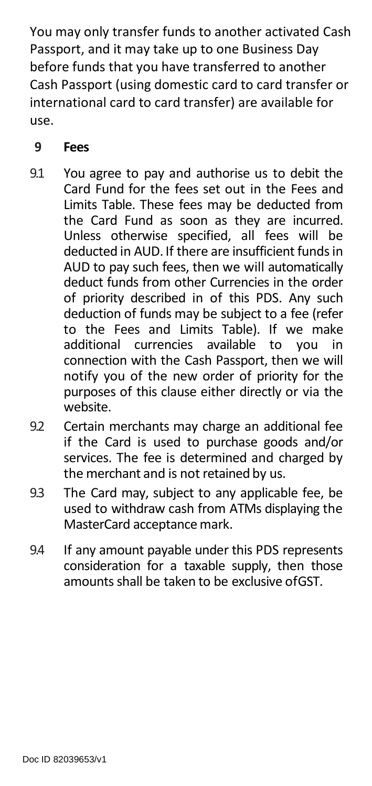You may only transfer funds to another activated Cash Passport, and it may take up to one Business Day before funds that you have transferred to another Cash Passport (using domestic card to card transfer or international card to card transfer) are available for use.

# **9 Fees**

- 9.1 You agree to pay and authorise us to debit the Card Fund for the fees set out in the Fees and Limits Table. These fees may be deducted from the Card Fund as soon as they are incurred. Unless otherwise specified, all fees will be deducted in AUD. If there are insufficient fundsin AUD to pay such fees, then we will automatically deduct funds from other Currencies in the order of priority described in of this PDS. Any such deduction of funds may be subject to a fee (refer to the Fees and Limits Table). If we make<br>additional currencies available to you in additional currencies available connection with the Cash Passport, then we will notify you of the new order of priority for the purposes of this clause either directly or via the website.
- 9.2 Certain merchants may charge an additional fee if the Card is used to purchase goods and/or services. The fee is determined and charged by the merchant and is not retained by us.
- 9.3 The Card may, subject to any applicable fee, be used to withdraw cash from ATMs displaying the MasterCard acceptance mark.
- 9.4 If any amount payable under this PDS represents consideration for a taxable supply, then those amounts shall be taken to be exclusive ofGST.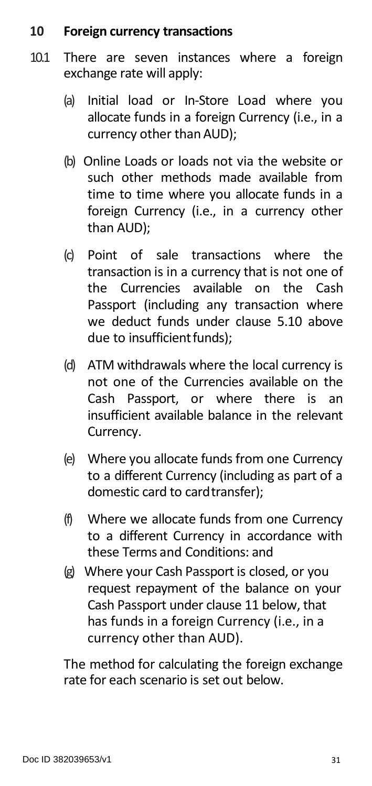#### **10 Foreign currency transactions**

- 10.1 There are seven instances where a foreign exchange rate will apply:
	- (a) Initial load or In-Store Load where you allocate funds in a foreign Currency (i.e., in a currency other than AUD);
	- (b) Online Loads or loads not via the website or such other methods made available from time to time where you allocate funds in a foreign Currency (i.e., in a currency other than AUD);
	- (c) Point of sale transactions where the transaction is in a currency that is not one of the Currencies available on the Cash Passport (including any transaction where we deduct funds under clause 5.10 above due to insufficient funds);
	- (d) ATM withdrawals where the local currency is not one of the Currencies available on the Cash Passport, or where there is an insufficient available balance in the relevant Currency.
	- (e) Where you allocate funds from one Currency to a different Currency (including as part of a domestic card to card transfer):
	- (f) Where we allocate funds from one Currency to a different Currency in accordance with these Terms and Conditions: and
	- (g) Where your Cash Passport is closed, or you request repayment of the balance on your Cash Passport under clause 11 below, that has funds in a foreign Currency (i.e., in a currency other than AUD).

The method for calculating the foreign exchange rate for each scenario is set out below.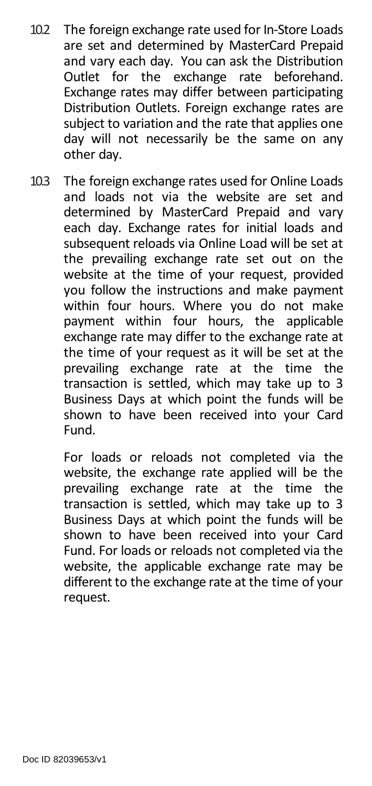- 10.2 The foreign exchange rate used for In-Store Loads are set and determined by MasterCard Prepaid and vary each day. You can ask the Distribution<br>Outlet for the exchange rate beforehand. Outlet for the exchange Exchange rates may differ between participating Distribution Outlets. Foreign exchange rates are subject to variation and the rate that applies one day will not necessarily be the same on any other day.
- 10.3 The foreign exchange rates used for Online Loads and loads not via the website are set and determined by MasterCard Prepaid and vary each day. Exchange rates for initial loads and subsequent reloads via Online Load will be set at the prevailing exchange rate set out on the website at the time of your request, provided you follow the instructions and make payment within four hours. Where you do not make payment within four hours, the applicable exchange rate may differ to the exchange rate at the time of your request as it will be set at the prevailing exchange rate at the time the transaction is settled, which may take up to 3 Business Days at which point the funds will be shown to have been received into your Card Fund.

For loads or reloads not completed via the website, the exchange rate applied will be the prevailing exchange rate at the time the transaction is settled, which may take up to 3 Business Days at which point the funds will be shown to have been received into your Card Fund. For loads or reloads not completed via the website, the applicable exchange rate may be different to the exchange rate at the time of your request.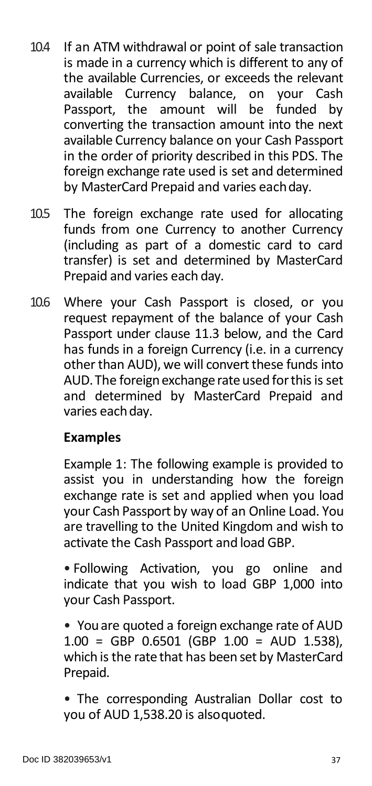- 10.4 If an ATM withdrawal or point of sale transaction is made in a currency which is different to any of the available Currencies, or exceeds the relevant available Currency balance, on your Cash Passport, the amount will be funded by converting the transaction amount into the next available Currency balance on your Cash Passport in the order of priority described in this PDS. The foreign exchange rate used is set and determined by MasterCard Prepaid and varies eachday.
- 10.5 The foreign exchange rate used for allocating funds from one Currency to another Currency (including as part of a domestic card to card transfer) is set and determined by MasterCard Prepaid and varies each day.
- 10.6 Where your Cash Passport is closed, or you request repayment of the balance of your Cash Passport under clause 11.3 below, and the Card has funds in a foreign Currency (i.e. in a currency other than AUD), we will convert these funds into AUD. The foreign exchange rate used for this is set and determined by MasterCard Prepaid and varies each day.

#### **Examples**

Example 1: The following example is provided to assist you in understanding how the foreign exchange rate is set and applied when you load your Cash Passport by way of an Online Load. You are travelling to the United Kingdom and wish to activate the Cash Passport and load GBP.

• Following Activation, you go online and indicate that you wish to load GBP 1,000 into your Cash Passport.

• Youare quoted a foreign exchange rate of AUD 1.00 = GBP 0.6501 (GBP 1.00 = AUD 1.538), which is the rate that has been set by MasterCard Prepaid.

• The corresponding Australian Dollar cost to you of AUD 1,538.20 is alsoquoted.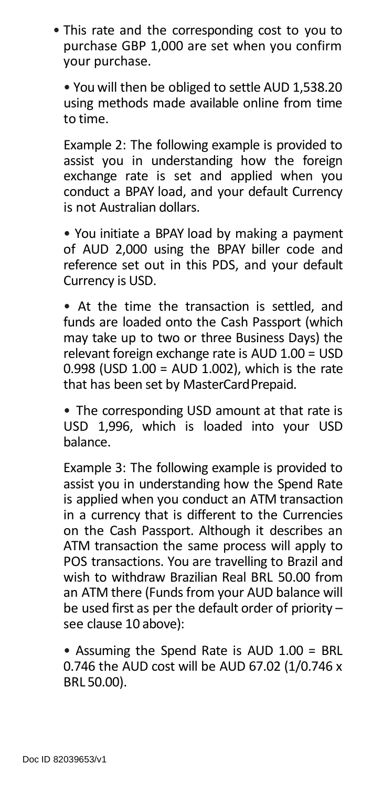• This rate and the corresponding cost to you to purchase GBP 1,000 are set when you confirm your purchase.

• You will then be obliged to settle AUD 1,538.20 using methods made available online from time to time.

Example 2: The following example is provided to assist you in understanding how the foreign exchange rate is set and applied when you conduct a BPAY load, and your default Currency is not Australian dollars.

• You initiate a BPAY load by making a payment of AUD 2,000 using the BPAY biller code and reference set out in this PDS, and your default Currency is USD.

• At the time the transaction is settled, and funds are loaded onto the Cash Passport (which may take up to two or three Business Days) the relevant foreign exchange rate is AUD 1.00 = USD 0.998 (USD 1.00 = AUD 1.002), which is the rate that has been set by MasterCardPrepaid.

• The corresponding USD amount at that rate is USD 1,996, which is loaded into your USD balance.

Example 3: The following example is provided to assist you in understanding how the Spend Rate is applied when you conduct an ATM transaction in a currency that is different to the Currencies on the Cash Passport. Although it describes an ATM transaction the same process will apply to POS transactions. You are travelling to Brazil and wish to withdraw Brazilian Real BRL 50.00 from an ATM there (Funds from your AUD balance will be used first as per the default order of priority – see clause 10 above):

• Assuming the Spend Rate is AUD 1.00 = BRL 0.746 the AUD cost will be AUD 67.02 (1/0.746 x BRL 50.00).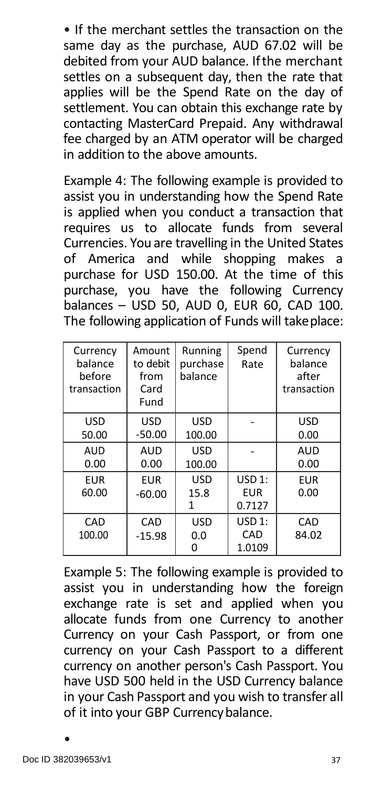• If the merchant settles the transaction on the same day as the purchase, AUD 67.02 will be debited from your AUD balance. Ifthe merchant settles on a subsequent day, then the rate that applies will be the Spend Rate on the day of settlement. You can obtain this exchange rate by contacting MasterCard Prepaid. Any withdrawal fee charged by an ATM operator will be charged in addition to the above amounts.

Example 4: The following example is provided to assist you in understanding how the Spend Rate is applied when you conduct a transaction that requires us to allocate funds from several Currencies. You are travelling in the United States of America and while shopping makes a purchase for USD 150.00. At the time of this purchase, you have the following Currency balances – USD 50, AUD 0, EUR 60, CAD 100. The following application of Funds will take place:

| Currency<br>balance<br>before<br>transaction | Amount<br>to debit<br>from<br>Card<br>Fund | Running<br>purchase<br>balance | Spend<br>Rate | Currency<br>balance<br>after<br>transaction |
|----------------------------------------------|--------------------------------------------|--------------------------------|---------------|---------------------------------------------|
| <b>USD</b>                                   | USD                                        | USD                            |               | <b>USD</b>                                  |
| 50.00                                        | $-50.00$                                   | 100.00                         |               | 0.00                                        |
| AUD                                          | <b>AUD</b>                                 | USD                            |               | AUD                                         |
| 0.00                                         | 0.00                                       | 100.00                         |               | 0.00                                        |
| EUR                                          | <b>EUR</b>                                 | USD                            | USD 1:        | <b>EUR</b>                                  |
| 60.00                                        | $-60.00$                                   | 15.8                           | EUR           | 0.00                                        |
|                                              |                                            | 1                              | 0.7127        |                                             |
| CAD                                          | CAD                                        | <b>USD</b>                     | USD 1:        | CAD                                         |
| 100.00                                       | $-15.98$                                   | 0.0                            | CAD           | 84.02                                       |
|                                              |                                            |                                | 1.0109        |                                             |

Example 5: The following example is provided to assist you in understanding how the foreign exchange rate is set and applied when you allocate funds from one Currency to another Currency on your Cash Passport, or from one currency on your Cash Passport to a different currency on another person's Cash Passport. You have USD 500 held in the USD Currency balance in your Cash Passport and you wish to transfer all of it into your GBP Currencybalance.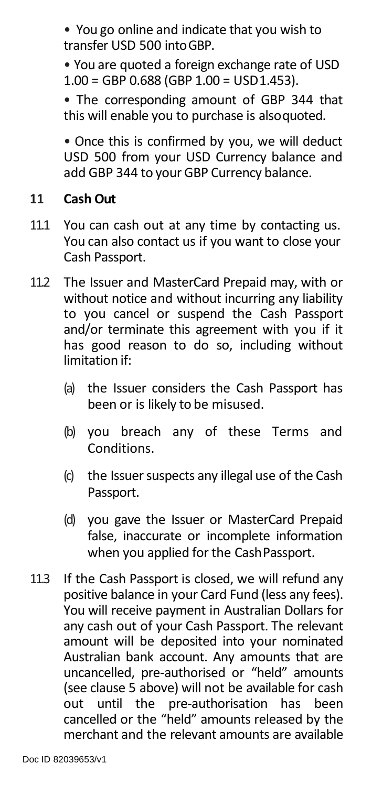• You go online and indicate that you wish to transfer USD 500 intoGBP.

• You are quoted a foreign exchange rate of USD 1.00 = GBP 0.688 (GBP 1.00 = USD1.453).

• The corresponding amount of GBP 344 that this will enable you to purchase is alsoquoted.

• Once this is confirmed by you, we will deduct USD 500 from your USD Currency balance and add GBP 344 to your GBP Currency balance.

#### **11 Cash Out**

- 11.1 You can cash out at any time by contacting us. You can also contact us if you want to close your Cash Passport.
- 11.2 The Issuer and MasterCard Prepaid may, with or without notice and without incurring any liability to you cancel or suspend the Cash Passport and/or terminate this agreement with you if it has good reason to do so, including without limitation if:
	- (a) the Issuer considers the Cash Passport has been or is likely to be misused.
	- (b) you breach any of these Terms and Conditions.
	- $(c)$  the Issuer suspects any illegal use of the Cash Passport.
	- (d) you gave the Issuer or MasterCard Prepaid false, inaccurate or incomplete information when you applied for the CashPassport.
- 11.3 If the Cash Passport is closed, we will refund any positive balance in your Card Fund (less any fees). You will receive payment in Australian Dollars for any cash out of your Cash Passport. The relevant amount will be deposited into your nominated Australian bank account. Any amounts that are uncancelled, pre-authorised or "held" amounts (see clause 5 above) will not be available for cash out until the pre-authorisation has been cancelled or the "held" amounts released by the merchant and the relevant amounts are available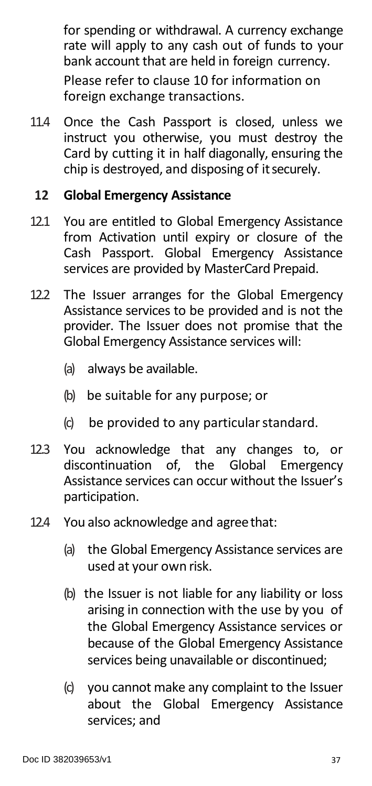for spending or withdrawal. A currency exchange rate will apply to any cash out of funds to your bank account that are held in foreign currency. Please refer to clause 10 for information on foreign exchange transactions.

11.4 Once the Cash Passport is closed, unless we instruct you otherwise, you must destroy the Card by cutting it in half diagonally, ensuring the chip is destroyed, and disposing of itsecurely.

#### **12 Global Emergency Assistance**

- 12.1 You are entitled to Global Emergency Assistance from Activation until expiry or closure of the Cash Passport. Global Emergency Assistance services are provided by MasterCard Prepaid.
- 12.2 The Issuer arranges for the Global Emergency Assistance services to be provided and is not the provider. The Issuer does not promise that the Global Emergency Assistance services will:
	- (a) always be available.
	- (b) be suitable for any purpose; or
	- (c) be provided to any particularstandard.
- 12.3 You acknowledge that any changes to, or discontinuation of, the Global Emergency Assistance services can occur without the Issuer's participation.
- 12.4 You also acknowledge and agreethat:
	- (a) the Global Emergency Assistance services are used at your own risk.
	- (b) the Issuer is not liable for any liability or loss arising in connection with the use by you of the Global Emergency Assistance services or because of the Global Emergency Assistance services being unavailable or discontinued;
	- (c) you cannot make any complaint to the Issuer about the Global Emergency Assistance services; and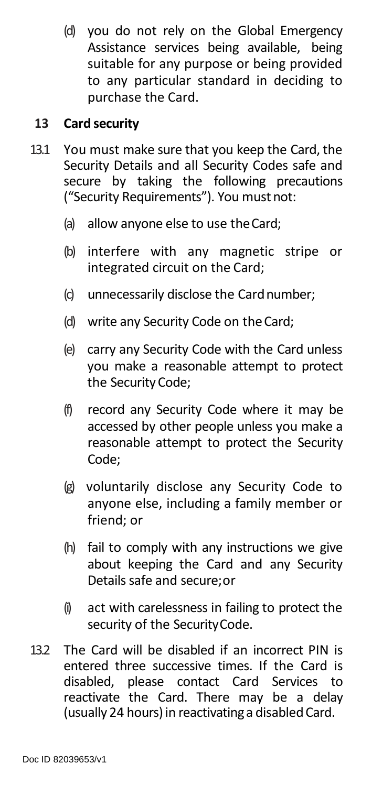(d) you do not rely on the Global Emergency Assistance services being available, being suitable for any purpose or being provided to any particular standard in deciding to purchase the Card.

#### **13 Card security**

- 13.1 You must make sure that you keep the Card, the Security Details and all Security Codes safe and secure by taking the following precautions ("Security Requirements"). You must not:
	- (a) allow anyone else to use theCard;
	- (b) interfere with any magnetic stripe or integrated circuit on the Card;
	- (c) unnecessarily disclose the Cardnumber;
	- (d) write any Security Code on theCard;
	- (e) carry any Security Code with the Card unless you make a reasonable attempt to protect the Security Code;
	- (f) record any Security Code where it may be accessed by other people unless you make a reasonable attempt to protect the Security Code;
	- (g) voluntarily disclose any Security Code to anyone else, including a family member or friend; or
	- (h) fail to comply with any instructions we give about keeping the Card and any Security Details safe and secure;or
	- (i) act with carelessness in failing to protect the security of the SecurityCode.
- 13.2 The Card will be disabled if an incorrect PIN is entered three successive times. If the Card is disabled, please contact Card Services to reactivate the Card. There may be a delay (usually 24 hours) in reactivating a disabled Card.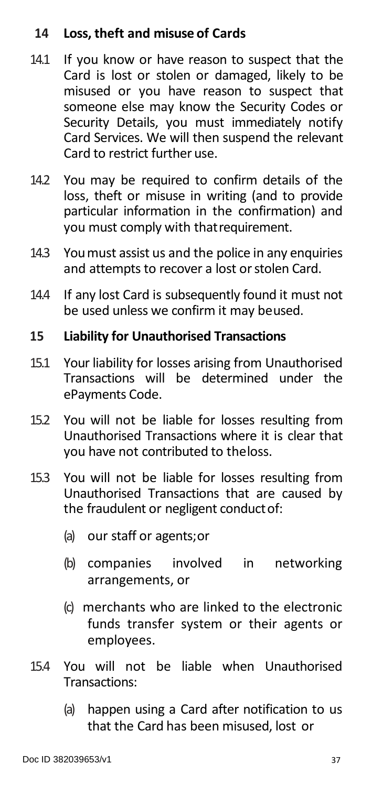#### **14 Loss, theft and misuse of Cards**

- 14.1 If you know or have reason to suspect that the Card is lost or stolen or damaged, likely to be misused or you have reason to suspect that someone else may know the Security Codes or Security Details, you must immediately notify Card Services. We will then suspend the relevant Card to restrict further use.
- 14.2 You may be required to confirm details of the loss, theft or misuse in writing (and to provide particular information in the confirmation) and you must comply with thatrequirement.
- 14.3 Youmust assist us and the police in any enquiries and attempts to recover a lost or stolen Card.
- 14.4 If any lost Card is subsequently found it must not be used unless we confirm it may beused.

#### **15 Liability for Unauthorised Transactions**

- 15.1 Your liability for losses arising from Unauthorised Transactions will be determined under the ePayments Code.
- 15.2 You will not be liable for losses resulting from Unauthorised Transactions where it is clear that you have not contributed to theloss.
- 15.3 You will not be liable for losses resulting from Unauthorised Transactions that are caused by the fraudulent or negligent conductof:
	- (a) our staff or agents;or
	- (b) companies involved in networking arrangements, or
	- (c) merchants who are linked to the electronic funds transfer system or their agents or employees.
- 15.4 You will not be liable when Unauthorised Transactions:
	- (a) happen using a Card after notification to us that the Card has been misused, lost or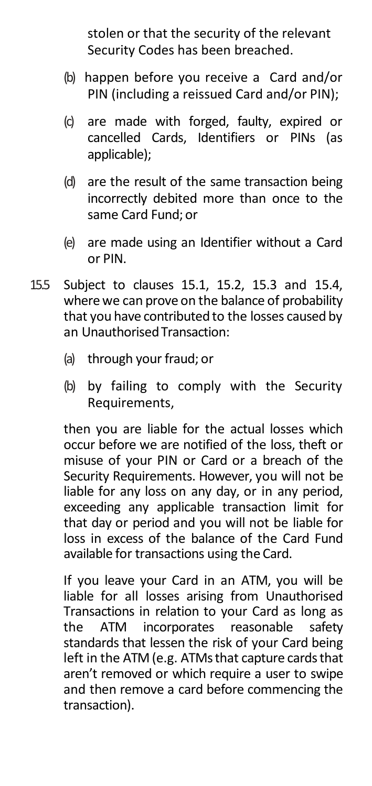stolen or that the security of the relevant Security Codes has been breached.

- (b) happen before you receive a Card and/or PIN (including a reissued Card and/or PIN);
- (c) are made with forged, faulty, expired or cancelled Cards, Identifiers or PINs (as applicable);
- (d) are the result of the same transaction being incorrectly debited more than once to the same Card Fund;or
- (e) are made using an Identifier without a Card or PIN.
- 15.5 Subject to clauses 15.1, 15.2, 15.3 and 15.4, where we can prove on the balance of probability that you have contributed to the losses caused by an Unauthorised Transaction:
	- (a) through your fraud; or
	- (b) by failing to comply with the Security Requirements,

then you are liable for the actual losses which occur before we are notified of the loss, theft or misuse of your PIN or Card or a breach of the Security Requirements. However, you will not be liable for any loss on any day, or in any period, exceeding any applicable transaction limit for that day or period and you will not be liable for loss in excess of the balance of the Card Fund available for transactions using the Card.

If you leave your Card in an ATM, you will be liable for all losses arising from Unauthorised Transactions in relation to your Card as long as the ATM incorporates reasonable safety standards that lessen the risk of your Card being left in the ATM (e.g. ATMs that capture cards that aren't removed or which require a user to swipe and then remove a card before commencing the transaction).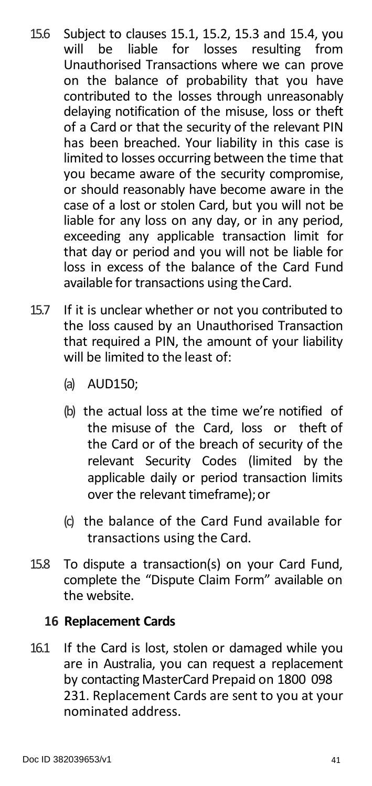- 15.6 Subject to clauses 15.1, 15.2, 15.3 and 15.4, you liable for losses resulting from Unauthorised Transactions where we can prove on the balance of probability that you have contributed to the losses through unreasonably delaying notification of the misuse, loss or theft of a Card or that the security of the relevant PIN has been breached. Your liability in this case is limited to losses occurring between the time that you became aware of the security compromise, or should reasonably have become aware in the case of a lost or stolen Card, but you will not be liable for any loss on any day, or in any period, exceeding any applicable transaction limit for that day or period and you will not be liable for loss in excess of the balance of the Card Fund available for transactions using theCard.
- 15.7 If it is unclear whether or not you contributed to the loss caused by an Unauthorised Transaction that required a PIN, the amount of your liability will be limited to the least of:
	- (a) AUD150;
	- (b) the actual loss at the time we're notified of the misuse of the Card, loss or theft of the Card or of the breach of security of the relevant Security Codes (limited by the applicable daily or period transaction limits over the relevant timeframe); or
	- (c) the balance of the Card Fund available for transactions using the Card.
- 15.8 To dispute a transaction(s) on your Card Fund, complete the "Dispute Claim Form" available on the website.

#### **16 Replacement Cards**

16.1 If the Card is lost, stolen or damaged while you are in Australia, you can request a replacement by contacting MasterCard Prepaid on 1800 098 231. Replacement Cards are sent to you at your nominated address.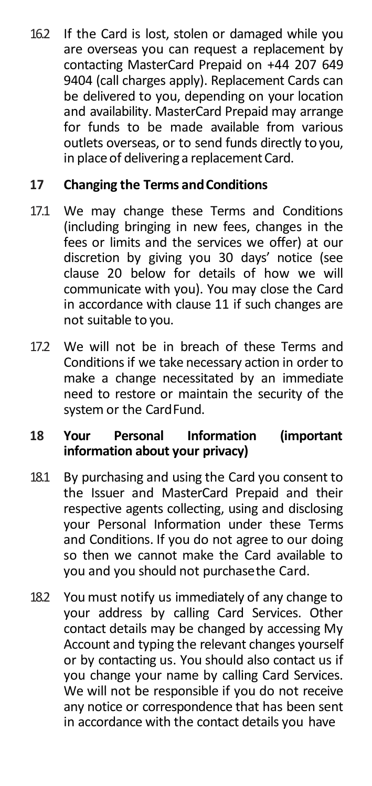16.2 If the Card is lost, stolen or damaged while you are overseas you can request a replacement by contacting MasterCard Prepaid on +44 207 649 9404 (call charges apply). Replacement Cards can be delivered to you, depending on your location and availability. MasterCard Prepaid may arrange for funds to be made available from various outlets overseas, or to send funds directly to you. in place of delivering a replacement Card.

# **17 Changing the Terms andConditions**

- 17.1 We may change these Terms and Conditions (including bringing in new fees, changes in the fees or limits and the services we offer) at our discretion by giving you 30 days' notice (see clause 20 below for details of how we will communicate with you). You may close the Card in accordance with clause 11 if such changes are not suitable to you.
- 17.2 We will not be in breach of these Terms and Conditions if we take necessary action in order to make a change necessitated by an immediate need to restore or maintain the security of the system or the CardFund.

# **18 Your Personal Information (important information about your privacy)**

- 18.1 By purchasing and using the Card you consent to the Issuer and MasterCard Prepaid and their respective agents collecting, using and disclosing your Personal Information under these Terms and Conditions. If you do not agree to our doing so then we cannot make the Card available to you and you should not purchasethe Card.
- 18.2 You must notify us immediately of any change to your address by calling Card Services. Other contact details may be changed by accessing My Account and typing the relevant changes yourself or by contacting us. You should also contact us if you change your name by calling Card Services. We will not be responsible if you do not receive any notice or correspondence that has been sent in accordance with the contact details you have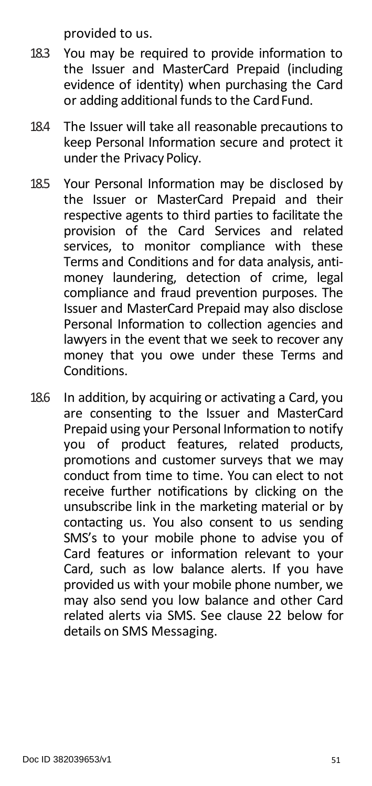provided to us.

- 18.3 You may be required to provide information to the Issuer and MasterCard Prepaid (including evidence of identity) when purchasing the Card or adding additional fundsto the CardFund.
- 18.4 The Issuer will take all reasonable precautions to keep Personal Information secure and protect it under the Privacy Policy.
- 18.5 Your Personal Information may be disclosed by the Issuer or MasterCard Prepaid and their respective agents to third parties to facilitate the provision of the Card Services and related services, to monitor compliance with these Terms and Conditions and for data analysis, antimoney laundering, detection of crime, legal compliance and fraud prevention purposes. The Issuer and MasterCard Prepaid may also disclose Personal Information to collection agencies and lawyers in the event that we seek to recover any money that you owe under these Terms and Conditions.
- 18.6 In addition, by acquiring or activating a Card, you are consenting to the Issuer and MasterCard Prepaid using your Personal Information to notify you of product features, related products, promotions and customer surveys that we may conduct from time to time. You can elect to not receive further notifications by clicking on the unsubscribe link in the marketing material or by contacting us. You also consent to us sending SMS's to your mobile phone to advise you of Card features or information relevant to your Card, such as low balance alerts. If you have provided us with your mobile phone number, we may also send you low balance and other Card related alerts via SMS. See clause 22 below for details on SMS Messaging.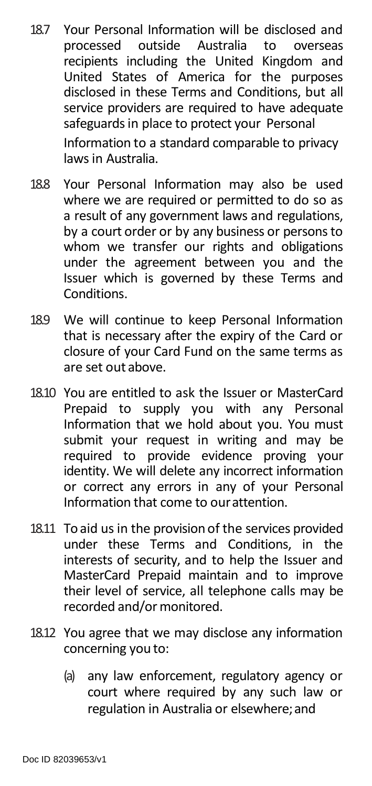- 18.7 Your Personal Information will be disclosed and processed outside Australia to overseas recipients including the United Kingdom and United States of America for the purposes disclosed in these Terms and Conditions, but all service providers are required to have adequate safeguards in place to protect your Personal Information to a standard comparable to privacy laws in Australia.
- 18.8 Your Personal Information may also be used where we are required or permitted to do so as a result of any government laws and regulations, by a court order or by any business or persons to whom we transfer our rights and obligations under the agreement between you and the Issuer which is governed by these Terms and Conditions.
- 18.9 We will continue to keep Personal Information that is necessary after the expiry of the Card or closure of your Card Fund on the same terms as are set out above.
- 18.10 You are entitled to ask the Issuer or MasterCard Prepaid to supply you with any Personal Information that we hold about you. You must submit your request in writing and may be required to provide evidence proving your identity. We will delete any incorrect information or correct any errors in any of your Personal Information that come to ourattention.
- 18.11 To aid us in the provision of the services provided under these Terms and Conditions, in the interests of security, and to help the Issuer and MasterCard Prepaid maintain and to improve their level of service, all telephone calls may be recorded and/or monitored.
- 18.12 You agree that we may disclose any information concerning you to:
	- (a) any law enforcement, regulatory agency or court where required by any such law or regulation in Australia or elsewhere;and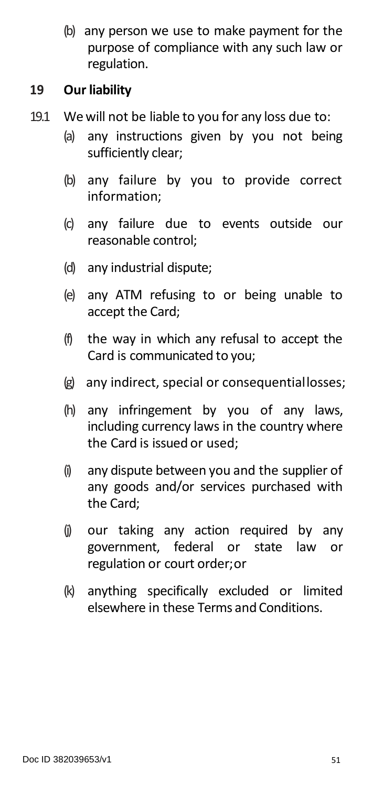(b) any person we use to make payment for the purpose of compliance with any such law or regulation.

#### **19 Our liability**

- 19.1 We will not be liable to you for any loss due to:
	- (a) any instructions given by you not being sufficiently clear;
	- (b) any failure by you to provide correct information;
	- (c) any failure due to events outside our reasonable control;
	- (d) any industrial dispute;
	- (e) any ATM refusing to or being unable to accept the Card;
	- (f) the way in which any refusal to accept the Card is communicated to you;
	- (g) any indirect, special or consequentiallosses;
	- (h) any infringement by you of any laws, including currency laws in the country where the Card is issued or used;
	- (i) any dispute between you and the supplier of any goods and/or services purchased with the Card;
	- (j) our taking any action required by any government, federal or state law or regulation or court order;or
	- (k) anything specifically excluded or limited elsewhere in these Terms and Conditions.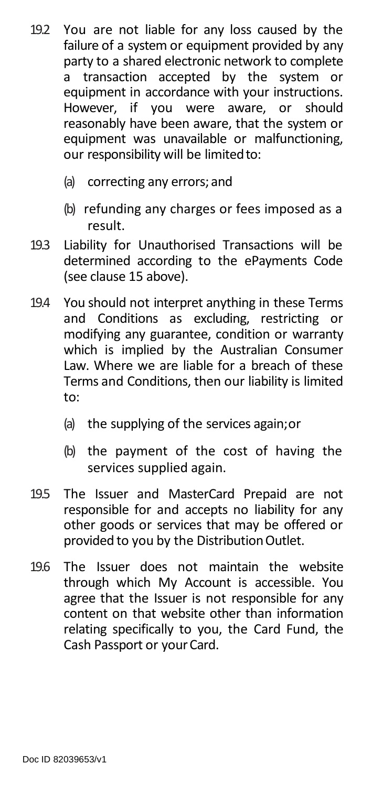- 19.2 You are not liable for any loss caused by the failure of a system or equipment provided by any party to a shared electronic network to complete<br>a transaction accepted by the system or  $\frac{1}{2}$  transaction accepted by the equipment in accordance with your instructions. However, if you were aware, or should reasonably have been aware, that the system or equipment was unavailable or malfunctioning, our responsibility will be limited to:
	- (a) correcting any errors; and
	- (b) refunding any charges or fees imposed as a result.
- 19.3 Liability for Unauthorised Transactions will be determined according to the ePayments Code (see clause 15 above).
- 19.4 You should not interpret anything in these Terms and Conditions as excluding, restricting or modifying any guarantee, condition or warranty which is implied by the Australian Consumer Law. Where we are liable for a breach of these Terms and Conditions, then our liability is limited to:
	- (a) the supplying of the services again;or
	- (b) the payment of the cost of having the services supplied again.
- 19.5 The Issuer and MasterCard Prepaid are not responsible for and accepts no liability for any other goods or services that may be offered or provided to you by the Distribution Outlet.
- 19.6 The Issuer does not maintain the website through which My Account is accessible. You agree that the Issuer is not responsible for any content on that website other than information relating specifically to you, the Card Fund, the Cash Passport or your Card.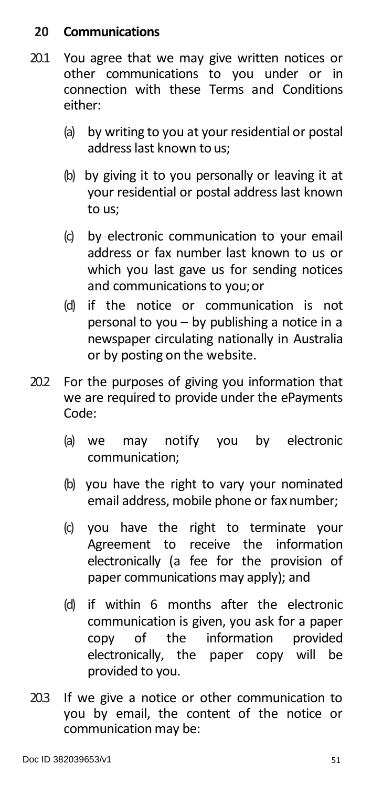# **20 Communications**

- 20.1 You agree that we may give written notices or other communications to you under or in connection with these Terms and Conditions either:
	- (a) by writing to you at your residential or postal address last known to us;
	- (b) by giving it to you personally or leaving it at your residential or postal address last known to us;
	- (c) by electronic communication to your email address or fax number last known to us or which you last gave us for sending notices and communications to you;or
	- (d) if the notice or communication is not personal to you – by publishing a notice in a newspaper circulating nationally in Australia or by posting on the website.
- 20.2 For the purposes of giving you information that we are required to provide under the ePayments Code:
	- (a) we may notify you by electronic communication;
	- (b) you have the right to vary your nominated email address, mobile phone or fax number;
	- (c) you have the right to terminate your Agreement to receive the information electronically (a fee for the provision of paper communications may apply); and
	- (d) if within 6 months after the electronic communication is given, you ask for a paper copy of the information provided electronically, the paper copy will be provided to you.
- 20.3 If we give a notice or other communication to you by email, the content of the notice or communication may be: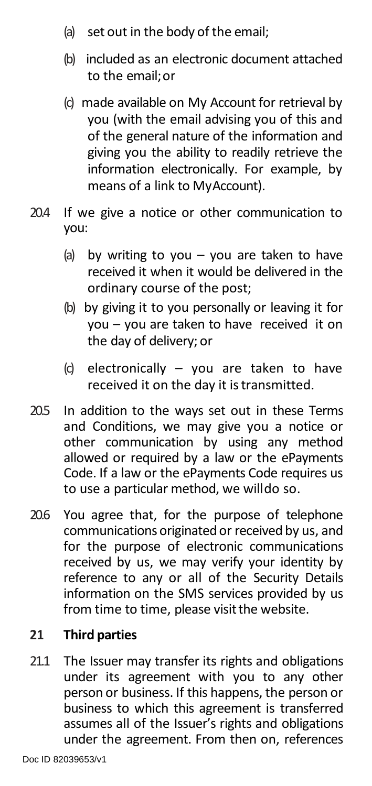- (a) set out in the body of the email;
- (b) included as an electronic document attached to the email;or
- (c) made available on My Account for retrieval by you (with the email advising you of this and of the general nature of the information and giving you the ability to readily retrieve the information electronically. For example, by means of a link to MyAccount).
- 20.4 If we give a notice or other communication to you:
	- (a) by writing to you  $-$  you are taken to have received it when it would be delivered in the ordinary course of the post;
	- (b) by giving it to you personally or leaving it for you – you are taken to have received it on the day of delivery; or
	- (c) electronically you are taken to have received it on the day it is transmitted.
- 20.5 In addition to the ways set out in these Terms and Conditions, we may give you a notice or other communication by using any method allowed or required by a law or the ePayments Code. If a law or the ePayments Code requires us to use a particular method, we willdo so.
- 20.6 You agree that, for the purpose of telephone communications originated or received by us, and for the purpose of electronic communications received by us, we may verify your identity by reference to any or all of the Security Details information on the SMS services provided by us from time to time, please visit the website.

# **21 Third parties**

21.1 The Issuer may transfer its rights and obligations under its agreement with you to any other person or business. If this happens, the person or business to which this agreement is transferred assumes all of the Issuer's rights and obligations under the agreement. From then on, references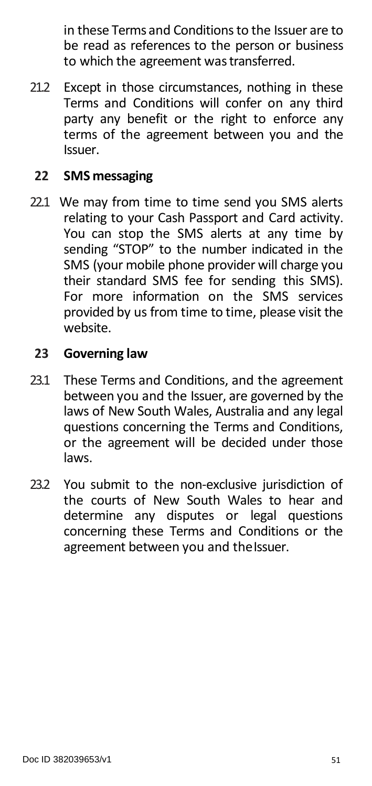in these Terms and Conditions to the Issuer are to be read as references to the person or business to which the agreement was transferred.

21.2 Except in those circumstances, nothing in these Terms and Conditions will confer on any third party any benefit or the right to enforce any terms of the agreement between you and the Issuer.

#### **22 SMS messaging**

22.1 We may from time to time send you SMS alerts relating to your Cash Passport and Card activity. You can stop the SMS alerts at any time by sending "STOP" to the number indicated in the SMS (your mobile phone provider will charge you their standard SMS fee for sending this SMS). For more information on the SMS services provided by us from time to time, please visit the website.

#### **23 Governing law**

- 23.1 These Terms and Conditions, and the agreement between you and the Issuer, are governed by the laws of New South Wales, Australia and any legal questions concerning the Terms and Conditions, or the agreement will be decided under those laws.
- <span id="page-50-0"></span>23.2 You submit to the non-exclusive jurisdiction of the courts of New South Wales to hear and determine any disputes or legal questions concerning these Terms and Conditions or the agreement between you and the Issuer.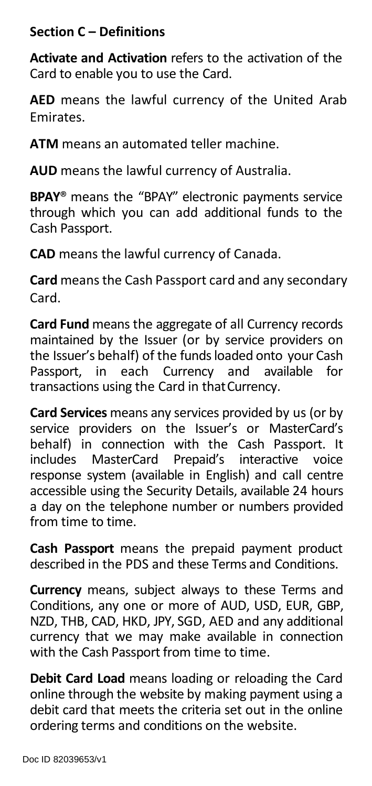# **Section C – Definitions**

**Activate and Activation** refers to the activation of the Card to enable you to use the Card.

**AED** means the lawful currency of the United Arab Emirates.

**ATM** means an automated teller machine.

**AUD** means the lawful currency of Australia.

**BPAY**® means the "BPAY" electronic payments service through which you can add additional funds to the Cash Passport.

**CAD** means the lawful currency of Canada.

**Card** means the Cash Passport card and any secondary Card.

**Card Fund** means the aggregate of all Currency records maintained by the Issuer (or by service providers on the Issuer's behalf) of the funds loaded onto your Cash<br>Passport. in each Currency and available for Passport, in each Currency and transactions using the Card in that Currency.

**Card Services** means any services provided by us (or by service providers on the Issuer's or MasterCard's behalf) in connection with the Cash Passport. It includes MasterCard Prepaid's interactive voice response system (available in English) and call centre accessible using the Security Details, available 24 hours a day on the telephone number or numbers provided from time to time.

**Cash Passport** means the prepaid payment product described in the PDS and these Terms and Conditions.

**Currency** means, subject always to these Terms and Conditions, any one or more of AUD, USD, EUR, GBP, NZD, THB, CAD, HKD, JPY, SGD, AED and any additional currency that we may make available in connection with the Cash Passport from time to time.

**Debit Card Load** means loading or reloading the Card online through the website by making payment using a debit card that meets the criteria set out in the online ordering terms and conditions on the website.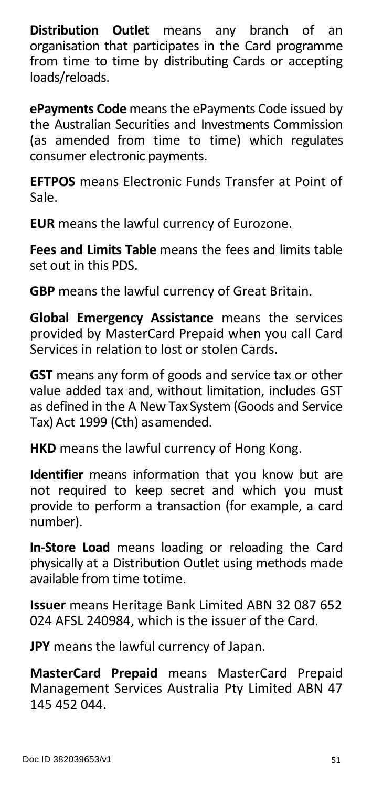**Distribution Outlet** means any branch of an organisation that participates in the Card programme from time to time by distributing Cards or accepting loads/reloads.

**ePayments Code** means the ePayments Code issued by the Australian Securities and Investments Commission (as amended from time to time) which regulates consumer electronic payments.

**EFTPOS** means Electronic Funds Transfer at Point of Sale.

**EUR** means the lawful currency of Eurozone.

**Fees and Limits Table** means the fees and limits table set out in this PDS.

**GBP** means the lawful currency of Great Britain.

**Global Emergency Assistance** means the services provided by MasterCard Prepaid when you call Card Services in relation to lost or stolen Cards.

**GST** means any form of goods and service tax or other value added tax and, without limitation, includes GST as defined in the A New Tax System (Goods and Service Tax) Act 1999 (Cth) asamended.

**HKD** means the lawful currency of Hong Kong.

**Identifier** means information that you know but are not required to keep secret and which you must provide to perform a transaction (for example, a card number).

**In-Store Load** means loading or reloading the Card physically at a Distribution Outlet using methods made available from time totime.

**Issuer** means Heritage Bank Limited ABN 32 087 652 024 AFSL 240984, which is the issuer of the Card.

**JPY** means the lawful currency of Japan.

**MasterCard Prepaid** means MasterCard Prepaid Management Services Australia Pty Limited ABN 47 145 452 044.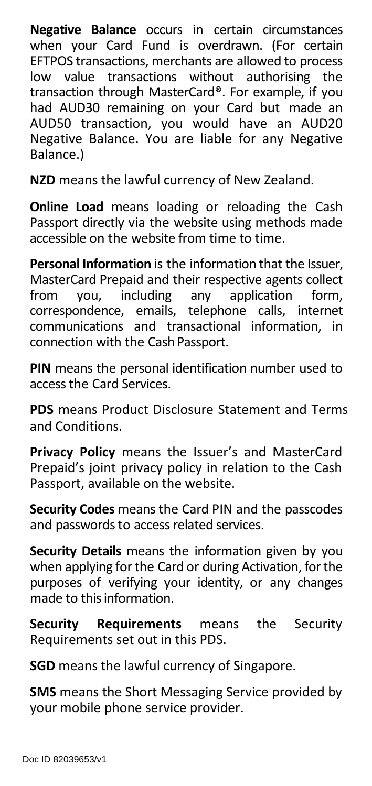**Negative Balance** occurs in certain circumstances when your Card Fund is overdrawn. (For certain EFTPOS transactions, merchants are allowed to process low value transactions without authorising the transaction through MasterCard®. For example, if you had AUD30 remaining on your Card but made an AUD50 transaction, you would have an AUD20 Negative Balance. You are liable for any Negative Balance.)

**NZD** means the lawful currency of New Zealand.

**Online Load** means loading or reloading the Cash Passport directly via the website using methods made accessible on the website from time to time.

**Personal Information** is the information that the Issuer, MasterCard Prepaid and their respective agents collect<br>from you, including any application form, you, including any application correspondence, emails, telephone calls, internet communications and transactional information, in connection with the Cash Passport.

**PIN** means the personal identification number used to access the Card Services.

**PDS** means Product Disclosure Statement and Terms and Conditions.

**Privacy Policy** means the Issuer's and MasterCard Prepaid's joint privacy policy in relation to the Cash Passport, available on the website.

**Security Codes** means the Card PIN and the passcodes and passwords to access related services.

**Security Details** means the information given by you when applying for the Card or during Activation, for the purposes of verifying your identity, or any changes made to this information.

**Security Requirements** means the Security Requirements set out in this PDS.

**SGD** means the lawful currency of Singapore.

**SMS** means the Short Messaging Service provided by your mobile phone service provider.